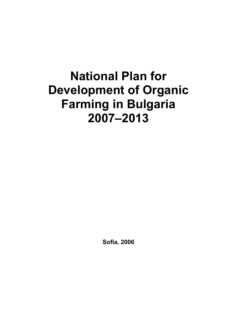# **National Plan for Development of Organic Farming in Bulgaria 2007–2013**

**Sofia, 2006**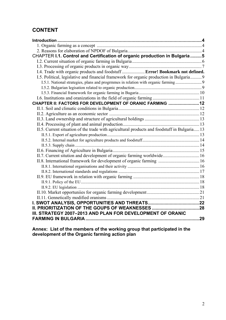# **CONTENT**

| CHAPTER I.1. Control and Certification of organic production in Bulgaria5                    |     |
|----------------------------------------------------------------------------------------------|-----|
|                                                                                              |     |
|                                                                                              |     |
| I.4. Trade with organic products and foodstuff Error! Bookmark not defined.                  |     |
| 1.5. Political, legislative and financial framework for organic production in Bulgaria 9     |     |
| 1.5.1. National strategies, plans and progrmmes in relation with organic farming 9           |     |
|                                                                                              |     |
|                                                                                              |     |
|                                                                                              |     |
| CHAPTER II: FACTORS FOR DEVELOPMENT OF ORANIC FARMING 12                                     |     |
|                                                                                              |     |
|                                                                                              |     |
|                                                                                              |     |
|                                                                                              |     |
| II.5. Current situation of the trade with agricultural products and foodstuff in Bulgaria 13 |     |
|                                                                                              |     |
|                                                                                              |     |
|                                                                                              |     |
|                                                                                              |     |
| II.7. Current sitution and development of organic farming worldwide 16                       |     |
|                                                                                              |     |
|                                                                                              |     |
|                                                                                              |     |
|                                                                                              |     |
|                                                                                              |     |
|                                                                                              |     |
|                                                                                              |     |
|                                                                                              |     |
|                                                                                              |     |
|                                                                                              |     |
| III. STRATEGY 2007-2013 AND PLAN FOR DEVELOPMENT OF ORANIC                                   |     |
|                                                                                              | .29 |

**Annex: List of the members of the working group that participated in the development of the Organic farming action plan**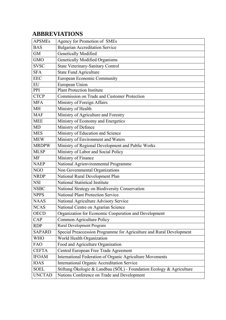# **ABBREVIATIONS**

| <b>APSMEs</b> | Agency for Promotion of SMEs                                         |
|---------------|----------------------------------------------------------------------|
| <b>BAS</b>    | <b>Bulgarian Accreditation Service</b>                               |
| <b>GM</b>     | <b>Genetically Modified</b>                                          |
| <b>GMO</b>    | Genetically Modified Organisms                                       |
| <b>SVSC</b>   | State Veterinary-Sanitary Control                                    |
| <b>SFA</b>    | <b>State Fund Agriculture</b>                                        |
| <b>EEC</b>    | European Economic Community                                          |
| EU            | European Union                                                       |
| PPI           | <b>Plant Protection Institute</b>                                    |
| <b>CTCP</b>   | Commission on Trade and Customer Protection                          |
| <b>MFA</b>    | Ministry of Foreign Affairs                                          |
| <b>MH</b>     | Ministry of Health                                                   |
| <b>MAF</b>    | Ministry of Agriculture and Forestry                                 |
| <b>MEE</b>    | Ministry of Economy and Energetics                                   |
| <b>MD</b>     | Ministry of Defence                                                  |
| <b>MES</b>    | Ministry of Education and Science                                    |
| <b>MEW</b>    | Ministry of Environment and Waters                                   |
| <b>MRDPW</b>  | Ministry of Regional Development and Public Works                    |
| <b>MLSP</b>   | Ministry of Labor and Social Policy                                  |
| <b>MF</b>     | Ministry of Finance                                                  |
| <b>NAEP</b>   | National Agrienvironmental Programme                                 |
| <b>NGO</b>    | Non Governmental Organizations                                       |
| <b>NRDP</b>   | National Rural Development Plan                                      |
| <b>NSI</b>    | National Statistical Institute                                       |
| <b>NSBC</b>   | National Strategy on Biodiversity Conservation                       |
| <b>NPPS</b>   | <b>National Plant Protection Service</b>                             |
| <b>NAAS</b>   | National Agriculture Advisory Service                                |
| <b>NCAS</b>   | National Centre on Agrarian Science                                  |
| <b>OECD</b>   | Organization for Economic Cooperation and Development                |
| CAP           | Common Agriculture Policy                                            |
| <b>RDP</b>    | Rural Development Program                                            |
| <b>SAPARD</b> | Special Preaccession Programme for Agriculture and Rural Development |
| <b>WHO</b>    | World Health Organization                                            |
| <b>FAO</b>    | Food and Agriculture Organisation                                    |
| <b>CEFTA</b>  | Central European Free Trade Agreement                                |
| <b>IFOAM</b>  | International Federation of Organic Agriculture Movements            |
| <b>IOAS</b>   | <b>International Organic Accreditation Service</b>                   |
| <b>SOEL</b>   | Stiftung Ökologie & Landbau (SÖL) - Foundation Ecology & Agriculture |
| <b>UNCTAD</b> | Nations Conference on Trade and Development                          |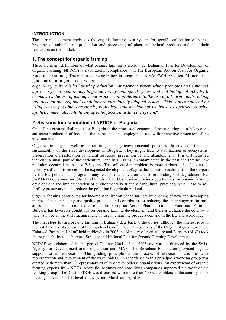#### **INTRODUCTION**

The current document envisages the organic farming as a system for specific cultivation of plants, breeding of animals and production and processing of plant and animal products and also their realization on the market.

# **1. The concept for organic farming**

There are many definitions of what organic farming is worldwide. Bulgarian Plan for Development of Organic Farming (NPDOF) is elaborated in compliance with The European Action Plan for Organic Food and Farming. The plan uses the definition in accordance to FAO/WHO Codex Alimentarius guidelines for organic food, where

organic agriculture is "*a holistic production management system which promotes and enhances agro-ecosystem health, including biodiversity, biological cycles, and soil biological activity. It emphasises the use of management practices in preference to the use of off-farm inputs, taking into account that regional conditions require locally adapted systems. This is accomplished by using, where possible, agronomic, biological, and mechanical methods, as opposed to using synthetic materials, to fulfil any specific function within the system*."

# **2. Reasons for elaboration of NPDOF of Bulgaria**

One of the greatest challenges for Bulgaria in the process of economical restructuring is to balance the sufficient production of food and the increase of the employment rate with preventive protection of the environment.

Organic farming as well as other integrated agrienvironmental practices directly contribute to sustainability of the rural development in Bulgaria. They might lead to stabilization of ecosystems, preservation and restoration of natural resources, prevention of land abandonment. It is distinguished that only a small part of the agricultural land in Bulgaria is contaminated in the past and that no new pollution occurred in the last 7-8 years. The soil erosion problem is more serious  $-3/4$  of country's territory suffers this process. The expected development of agricultural sector resulting from the support by the EU policies and programs may lead to intensification and corresponding soil degradation. EU SAPARD Pogramme and Structural Funds after EU accession provide opportunities for organic farming development and implementation of environmentally friendly agricultural practices, which lead to soil fertility preservation and reduce the pollution in agricultural lands.

Organic farming contributes for income stabilization of the farmers by opening of new and developing markets for their healthy and quality products and contributes for reducing the unemployment in rural areas. This fact is accentuated also in The European Action Plan for Organic Food and Farming. Bulgaria has favorable conditions for organic farming development and there is a chance the country to take its place in the still existing niche of organic farming products demand in the EU and worldwide.

The first steps toward organic farming in Bulgaria date back to the 60-ies, although the interest rose in the last 15 years. As a result of the high level Conference "Perspectives of the Organic Agriculture in the Enlarged European Union" held in Plovdiv in 2003 the Ministry of Agriculture and Forestry (MAF) took the responsibility to elaborate a Strategy and National Plan for Organic Farming Development.

NPDOF was elaborated in the period October 2004 – June 2005 and was co-financed by the Swiss Agency for Development and Cooperation and MAF. The Bioselena Foundation provided logistic support for its elaboration. The guiding principle in the process of elaboration was the wide representation and involvement of the stakeholders. In accordance to this principle a working group was created with more than 30 representatives of key stakeholders' organisations. An expert team of organic farming experts from NGOs, scientific institutes and consulting companies supported the work of the working group. The Draft NPDOF was discussed with more than 600 stakeholders in the country in six meetings in each NUT II level in the period March and April 2005.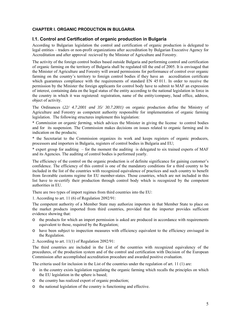# **CHAPTER І. ORGANIC PRODUCTION IN BULGARIA**

# **І.1. Control and Certification of organic production in Bulgaria**

According to Bulgarian legislation the control and certification of organic production is delegated to legal entities – traders or non-profit organizations after accreditation by Bulgarian Executive Agency for Accreditation and after approval recieved by the Minister of Agriculture and Forestry.

The activity of the foreign control bodies based outside Bulgaria and performing control and certification of organic farming on the territory of Bulgaria shall be regulated till the end of 2005. It is envisaged that the Minister of Agriculture and Forestry will award permissions for performance of control over organic farming on the country's territory to foreign control bodies if they have an accreditation certificate which guarantees compliance with the requirements of standard EN 45 011. In order to receive the permission by the Minister the foreign applicants for control body have to submit to MAF an expression of interest, containing data on the legal status of the entity according to the national legislation in force in the country in which it was registered: registration, name of the entity/company, head office, address, object of activity.

The Ordinances (*22/ 4.7.2001 and 35/ 30.7.2001)* on organic production define the Ministry of Agriculture and Forestry as competent authority responsible for implementation of organic farming legislation. The following structures implement this legislation:

\* *Commission on organic farming*, which advices the Minister in giving the license to control bodies and for its suspension. The Commission makes decisions on issues related to organic farming and its indication on the products;

\* the Secretariat to the Commission organizes its work and keeps registers of organic producers, processors and importers in Bulgaria, registers of control bodies in Bulgaria and EU;

\* expert group for auditing – for the moment the auditing is delegated to six trained experts of MAF and its Agencies. The auditing of control bodies is performed yearly.

The efficiency of the control on the organic production is of definite significance for gaining customer's confidence. The efficiency of this control is one of the mandatory conditions for a third country to be included in the list of the countries with recognized equivalence of practices and such country to benefit from favorable customs regime for EU member-states. Those countries, which are not included in this list have to re-certify their production through control body which is recognized by the competent authorities in EU.

There are two types of import regimes from third countries into the EU:

1. According to art. 11 (6) of Regulation 2092/91:

The competent authority of a Member State may authorize importers in that Member State to place on the market products imported from third countries, provided that the importer provides sufficient evidence showing that:

- o the products for which an import permission is asked are produced in accordance with requirements equivalent to those, required by the Regulation;
- o have been subject to inspection measures with efficiency equivalent to the efficiency envisaged in the Regulation.
- 2. According to art. 11(1) of Regulation 2092/91:

The third countries are included in the List of the countries with recognized equivalency of the procedures, of the production system and of the control and certification with Decision of the European Commission after accomplished accreditation procedure and awarded positive evaluation.

The criteria used for inclusion in the List of the countries under the regulation of art. 11 (1) are:

- o in the country exists legislation regulating the organic farming which recalls the principles on which the EU legislation in the sphere is based;
- o the country has realized export of organic production;
- o the national legislation of the country is functioning and effective.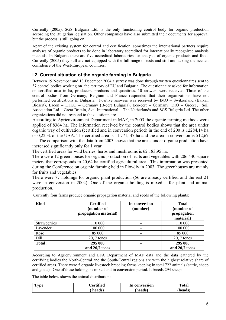Currently (2005), SGS Bulgaria Ltd. is the only functioning control body for organic production according the Bulgarian legislation. Other companies have also submitted their documents for approval but the process is still going on.

Apart of the existing system for control and certification, sometimes the international partners require analyses of organic products to be done in laboratory accredited for internationally recognized analysis methods. In Bulgaria there are five accredited laboratories for analysis of organic products and food. Currently (2005) they still are not equipped with the full range of tests and still are lacking the needed confidence of the West-European countries.

# **І.2. Current situation of the organic farming in Bulgaria**

Between 19 November and 13 December 2004 a survey was done through written questionnaires sent to 37 control bodies working on the territory of EU and Bulgaria. The questionnaire asked for information on certified area in ha, producers, products and quantities. 10 answers were received. Three of the control bodies from Germany, Belgium and France responded that their organizations have not performed certifications in Bulgaria. Positive answers was received by IMO – Switzerland (Balkan Biosert), Lacon – ETKO – Germany (B-cert Bulgaria), Eco-cert – Germany, DIO – Greece, Soil Association Ltd – Great Britain, Skal International – The Netherlands and SGS Bulgaria Ltd. The other organizations did not respond to the questionnaire.

According to Agrienvironment Department in MAF, in 2003 the organic farming methods were applied of 8364 ha. The information received by the control bodies shows that the area under organic way of cultivation (certified and in conversion period) in the end of 200 is 12284,14 ha or 0,22 % of the UAA. The certified area is 11 771, 47 ha and the area in conversion is 512,67 ha. The comparison with the data from 2003 shows that the areas under organic production have increased significantly only for 1 year

The certified areas for wild berries, herbs and mushrooms is 62 183,95 ha.

There were 12 green houses for organic production of fruits and vegetables with 206 440 square meters that corresponds to 20,64 ha certified agricultural area. This information was presented during the Conference on organic farming held in Plovdiv in 2003. The greenhouses are mainly for fruits and vegetables.

There were 77 holdings for organic plant production (56 are already certified and the rest 21 were in conversion in 2004). One of the organic holding is mixed – for plant and animal production.

| <b>Kind</b>         | <b>Certified</b><br>(number of | In conversion<br>(number) | <b>Total</b><br>(number of |
|---------------------|--------------------------------|---------------------------|----------------------------|
|                     | propagation material)          |                           | propagation<br>material)   |
| <b>Strawberries</b> | 110 000                        |                           | 110 000                    |
| Lavender            | 100 000                        |                           | 100 000                    |
| Rose                | 85 000                         |                           | 85 000                     |
| Dill                | $20, 7$ tones                  |                           | $20, 7$ tones              |
| Total:              | 295 000                        |                           | 295 000                    |
|                     | and 20,7 tones                 |                           | and 20,7 tones             |

Currently four farms produce organic propagation material and seeds of the following plants:

According to Agrienvironment and LFA Department of MAF data and the data gathered by the certifying bodies the North-Central and the South-Central regions are with the highest relative share of certified areas. There were 5 organic livestock breeding farms keeping in total 722 animals (cattle, sheep and goats). One of these holdings is mixed and in conversion period. It breeds 294 sheep.

The table below shows the animal distribution:

| <b>CONT</b><br>vpe | <b>'ertified</b> | In conversion | <b>Total</b> |
|--------------------|------------------|---------------|--------------|
|                    | heads)           | (heads)       | (heads)      |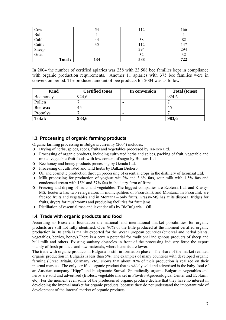| Cow           | 54  | 12            | 166 |
|---------------|-----|---------------|-----|
| Bull          |     | _             |     |
| Calf          | 44  | 38            | 82  |
| Cattle        |     | <sup>12</sup> | 147 |
| Sheep<br>Goat |     | 294           | 294 |
|               |     | 32            |     |
| Total:        | 134 | 588           | 722 |

In 2004 the number of certified apiaries was 258 with 23 508 bee families kept in compliance with organic production requirements. Another 11 apiaries with 375 bee families were in conversion period. The produced amount of bee products for 2004 was as follows:

| <b>Kind</b>   | <b>Certified tones</b> | In conversion            | <b>Total (tones)</b> |
|---------------|------------------------|--------------------------|----------------------|
| Bee honey     | 924,6                  | -                        | 924,6                |
| Pollen        |                        | $\overline{\phantom{0}}$ |                      |
| Bee wax       | 45                     | -                        | 45                   |
| Propolys      |                        | -                        |                      |
| <b>Total:</b> | 983,6                  | $\blacksquare$           | 983,6                |

# **І.3. Processing of organic farming products**

Organic farming processing in Bulgaria currently (2004) includes:

- o Drying of herbs, spices, seeds, fruits and vegetables processed by Ira-Eco Ltd.
- o Processing of organic products, including cultivated herbs and spices, packing of fruit, vegetable and mixed vegetable-fruit foods with low content of sugar by Biostart Ltd.
- o Bee honey and honey products processing by Gerada Ltd.
- o Processing of cultivated and wild herbs by Balkan Bioherb.
- o Oil and cosmetic production through processing of essential crops in the distillery of Ecomaat Ltd.
- o Milk processing for production of yoghurt wit 2% and 3,6% fats, sour milk with 1,5% fats and condensed cream with 15% and 37% fats in the dairy farm of Rima
- o Freezing and drying of fruits and vegetables. The biggest companies are Ecoterra Ltd. and Krassy-MS. Ecoterra has two refrigerators in municipalities of Pazardzhik and Montana. In Pazardhik are freezed fruits and vegetables and in Montana – only fruits. Krassy-MS has at its disposal fridges for fruits, dryers for mushrooms and producing facilities for fruit jams.
- o Distillation of essential rose and lavender oils by BioBulgaria Oil.

# **І.4. Trade with organic products and food**

According to Bioselena foundation the national and international market possibilities for organic products are still not fully identified. Over 90% of the little produced at the moment certified organic production in Bulgaria is mainly exported for the West European countries (ethereal and herbal plants, vegetables, berries, honey).There is a certain potential for traditional indigenous products of sheep and bull milk and others. Existing sanitary obstacles in front of the processing industry force the export mainly of fresh products and raw materials, where benefits are lower.

The trade with organic products in Bulgaria is still in formation phase. The share of the market realized organic production in Bulgaria is less than 5%. The examples of many countries with developed organic farming (Great Britain, Germany, etc.) shows that about 70% of their production is realized on their internal markets. The only certified organic product that is widely sold and advertised is the baby food of an Austrian company "Hipp" and biodynamic Sunval. Sporadically organic Bulgarian vegetables and herbs are sold and advertised (Biofest, vegetable market in Plovdiv-Agroecological Center and Ecofarm, etc). For the moment even some of the producers of organic produce declare that they have no interest in developing the internal market for organic products, because they do not understand the important role of development of the internal market of organic products.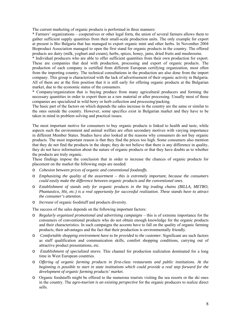The current marketing of organic products is performed in three manners:

\* Farmers' organizations – cooperatives or other legal form, the union of several farmers allows them to gather sufficient supply quantities from their small-scale production units. The only example for export at present is Bio Bulgaria that has managed to export organic mint and other herbs. In November 2004 Bioproduct Association managed to open the first stand for organic products in the country. The offered products are dairy (milk, yoghurt and cream), herbs, spices, honey, jams, dried fruits and mushrooms.

\* Individual producers who are able to offer sufficient quantities from their own production for export. These are companies that deal with production, processing and export of organic products. The production of each company is certified from different European certifying organization, most often from the importing country. The technical consultations in the production are also done from the import company. This group is characterized with the lack of advertisement of their organic activity in Bulgaria. All of them are at the firm position that it is still early for offering organic products at the Bulgarian market, due to the economic status of the consumers.

\* Company/organization that is buying produce from many agricultural producers and forming the necessary quantities in order to export them as a raw material or after processing. Usually most of these companies are specialized in wild berry or herb collection and processing/packing.

The basic part of the factors on which depends the sales increase in the country are the same or similar to the ones outside the country. However, some specifics exist in Bulgarian market and they have to be taken in mind in problem solving and practical issues.

The most important motive for consumers to buy organic products is linked to health and taste, while aspects such the environment and animal welfare are often secondary motives with varying importance in different Member States. Studies have also looked at the reasons why consumers do not buy organic products. The most important reason is that they find the prices too high. Some consumers also mention that they do not find the products in the shops; they do not believe that there is any difference in quality, they do not have information about the nature of organic products or that they have doubts as to whether the products are truly organic.

These findings impose the conclusion that in order to increase the chances of organic products for placement on the market the following steps are needed:

- o *Cohesion between prices of organic and conventional foodstuffs.*
- o *Emphasizing the quality of the assortment this is extremely important, because the consumers could easily make the difference between organic products and the conventional ones.*
- o *Establishment of stands only for organic products in the big trading chains (BILLA, METRO, Phantastico, Hit, etc.) is a real opportunity for successful realization. These stands have to attract the consumer's attention.*
- o *Increase* of organic foodstuff and products diversity.

The success of the sales depends on the following important factors:

- o *Regularly organized promotional and advertising campaigns*  this is of extreme importance for the consumers of conventional products who do not obtain enough knowledge for the organic products and their characteristics. In such campaigns the accents have to fall on the quality of organic farming products, their advantages and the fact that their production is environmentally friendly.
- o *Comfortable shopping environment have to be provided to the customer.* Significant are such factors as staff qualification and communication skills, comfort shopping conditions, carrying out of attractive product presentations, etc.
- o *Establishment of specialized stores*. This channel for production realization dominated for a long time in West European countries.
- o *Offering of organic farming products in first-class restaurants and public institutions. At the beginning is possible to start in state institutions which could provide a real step forward for the development of organic farming products' market.*
- o Organic foodstuffs might be offered to the numerous tourists visiting the sea resorts or the ski ones in the country. The *agro-tourism is an existing perspective* for the organic producers to realize direct sells.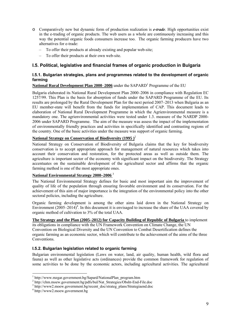- o Comparatively new but dynamic form of production realization is *e-trade*. High opportunities exist in the e-trading of organic products. The web users as a whole are continuously increasing and this way the potential organic foods consumers increase too. The organic farming producers have two alternatives for e-trade:
	- To offer their products at already existing and popular web-site;
	- To offer their products at their own web-site.

# **І.5. Political, legislative and financial frames of organic production in Bulgaria**

### **І.5.1. Bulgarian strategies, plans and programmes related to the development of organic farming**

National Rural Development Plan 2000–2006 under the SAPARD<sup>1</sup> Programme of the EU

Bulgaria elaborated its National Rural Development Plan 2000–2006 in compliance with Regulation EC 1257/99. This Plan is the basis for absorption of funds under the SAPARD Programme of the EU. Its results are prolonged by the Rural Development Plan for the next period 2007–2013 when Bulgaria as an EU member-state will benefit from the funds for implementation of CAP. This document leads to elaboration of National Rural Development Programme in which the Agrienvironmental measure is a mandatory one. The agrienvironmental activities were tested under 1.3. measure of the NARDP 2000- 2006 under SAPARD Programme. The aim of the measure was assess the impact of the implementation of environmentally friendly practices and activities in specifically identified and contrasting regions of the country. One of the basic activities under the measure was support of organic farming.

#### **National Strategy on Conservation of Biodiversity (1995 )**<sup>2</sup>

National Strategy on Conservation of Biodiversity of Bulgaria claims that the key for biodiversity conservation is to accept appropriate approach for management of natural resources which takes into account their conservation and restoration, for the protected areas as well as outside them. The agriculture is important sector of the economy with significant impact on the biodiversity. The Strategy accentuates on the sustainable development of the agricultural sector and affirms that the organic farming method is one of the most appropriate ones.

#### **National Environmental Strategy 2000–2006** <sup>3</sup>

The National Environmental Strategy defines for basic and most important aim the improvement of quality of life of the population through ensuring favorable environment and its conservation. For the achievement of this aim of major importance is the integration of the environmental policy into the other sectoral policies, including the agriculture.

Organic farming development is among the other aims laid down in the National Strategy on Environment  $(2005-2014)^4$ . In this document it is envisaged to increase the share of the UAA covered by organic method of cultivation to 3% of the total UAA.

**The Strategy and the Plan (2005–2012) for Capacity Building of Republic of Bulgaria** to implement its obligations in compliance with the UN Framework Convention on Climate Change, the UN

Convention on Biological Diversity and the UN Convention to Combat Desertification defines the organic farming as an economic sector, which will contribute to the achievement of the aims of the three Conventions.

# **І.5.2. Bulgarian legislation related to organic farming**

Bulgarian environmental legislation (Laws on water, land, air quality, human health, wild flora and fauna) as well as other legislative acts (ordinances) provide the common framework for regulation of some activities to be done by the economic actors, including agricultural activities. The agricultural

 $\overline{a}$ 

<sup>&</sup>lt;sup>1</sup> http://www.mzgar.government.bg/Sapard/NationalPlan\_program.htm<br><sup>2</sup> http://shm.moovy.government.bg/pdfs/hul/Net\_Stratogics/Obsht\_End\_I

<sup>&</sup>lt;sup>2</sup> http://chm.moew.government.bg/pdfs/bul/Nat\_Strategies/Obsht-End-File.doc

<sup>&</sup>lt;sup>3</sup> http://www2.moew.government.bg/recent\_doc/strateg\_plans/Strategiaend.doc

http://www2.moew.government.bg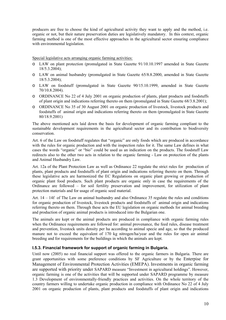producers are free to choose the kind of agricultural activity they want to apply and the method, i.e. organic or not, but their nature preservation duties are legislatively mandatory. In this context, organic farming method is one of the most effective approaches in the agricultural sector ensuring compliance with environmental legislation.

Special legislative acts arranging organic farming activities:

- o LAW on plant protection (promulgated in State Gazette 91/10.10.1997 amended in State Gazette 18/5.3.2004);
- o LAW on animal husbandry (promulgated in State Gazette 65/8.8.2000, amended in State Gazette 18/5.3.2004);
- o LAW on foodstuff (promulgated in State Gazette 90/15.10.1999, amended in State Gazette 70/10.8.2004).
- o ORDINANCE No 22 of 4 July 2001 on organic production of plants, plant products and foodstuffs of plant origin and indications referring thereto on them (promulgated in State Gazette 68/3.8.2001);
- o ORDINANCE No 35 of 30 August 2001 on organic production of livestock, livestock products and foodstuffs of animal origin and indications referring thereto on them (promulgated in State Gazette 80/18.9.2001)

The above mentioned acts laid down the basis for development of organic farming compliant to the sustainable development requirements in the agricultural sector and its contribution to biodiversity conservation.

Art. 6 of the Law on foodstuff regulates that "organic" are only foods which are produced in accordance with the rules for organic production and with the inspection rules for it. The same Law defines in what cases the words "organic" or "bio" could be used as an indication on the products. The foodstuff Law redirects also to the other two acts in relation to the organic farming - Law on protection of the plants and Animal Husbandry Law.

Art. 12а of the Plant Protection Law as well as Ordinance 22 regulate the strict rules for production of plants, plant products and foodstuffs of plant origin and indications referring thereto on them. Through these legislative acts are harmonized the EC Regulations on organic plant growing or production of organic plant food products. Such plant products are organic only in case the requirements of the Ordinance are followed – for soil fertility preservation and improvement, for utilization of plant protection materials and for usage of organic seed material.

Art. 14 – 14f of The Law on animal husbandry and also Ordinance 35 regulate the rules and conditions for organic production of livestock, livestock products and foodstuffs of animal origin and indications referring thereto on them. Through these acts the EU legislation on organic methods for animal breeding and production of organic animal products is introduced into the Bulgarian one.

The animals are kept or the animal products are produced in compliance with organic farming rules when the Ordinance requirements are followed for: animal provenance, the feed rules, disease treatment and prevention, livestock units density per ha according to animal specie and age, so that the produced manure not to exceed the equivalent of 170 kg nitrogen/ha/year and the rules for open air animal breeding and for requirements for the buildings in which the animals are kept.

#### **І.5.3. Financial framework for support of organic farming in Bulgaria.**

Until now (2005) no real financial support was offered to the organic farmers in Bulgaria. There are grant opportunities with some preference conditions by SF Agriculture or by the Enterpise for Management of Environmental Protection Activities (EMEPA). Investments in organic farming are supported with priority under SAPARD measure "Investment in agricultural holdings". However, organic farming is one of the activities that will be supported under SAPARD programme by measure 1.3 Development of environmentally-friendly practices and activities. On the whole territory of the country farmers willing to undertake organic production in compliance with Ordinance No 22 of 4 July 2001 on organic production of plants, plant products and foodstuffs of plant origin and indications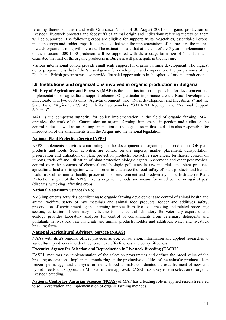referring thereto on them and with Ordinance No 35 of 30 August 2001 on organic production of livestock, livestock products and foodstuffs of animal origin and indications referring thereto on them will be supported. The following crops are eligible for support: fruits, vegetables, essential-oil crops, medicine crops and fodder crops. It is expected that with the implementation of the measure the interest towards organic farming will increase. The estimations are that at the end of the 5-years implementation of the measure 1000-1500 producers will be supported with the average farm size of 5 ha. It is also estimated that half of the organic producers in Bulgaria will participate in the measure.

Various international donors provide small scale support for organic farming development. The biggest donor programme is that of the Swiss Agency for development and cooperation. The programmes of the Dutch and British governments also provide financial opportunities in the sphere of organic production.

# **І.6. Institutions and organizations involved in organic production in Bulgaria**

**Ministry of Agriculture and Forestry (MAF**) is the main institution responsible for development and implementation of agricultural support schemes. Of particular importance are the Rural Development Directorate with two of its units "Agri-Environment" and "Rural development and Investments" and the State Fund "Agriculture"(SFA) with its two branches "SAPARD Agency" and "National Support Schemes".

MAF is the competent authority for policy implementation in the field of organic farming. MAF organizes the work of the Commission on organic farming, implements inspection and audits on the control bodies as well as on the implementation of the legislation in this field. It is also responsible for introduction of the amendments from the Acquis into the national legislation.

#### **National Plant Protection Service (NPPS)**

NPPS implements activities contributing to the development of organic plant production, OF plant products and foods. Such activities are control on the imports, market placement, transportation, preservation and utilization of plant protection products, bio-active substances, fertilizers; control on imports, trade off and utilization of plant protection biologic agents, pheromone and other pest meshes; control over the contents of chemical and biologic pollutants in raw materials and plant products, agricultural land and irrigation water in order to guarantee the food safety of plant products and human health as well as animal health, preservation of environment and biodiversity. The Institute on Plant Protection as part of the NPPS invents organic methods and means for weed control or against pest (diseases, wrecking) affecting crops.

#### **National Veterinary Service (NVS)**

NVS implements activities contributing to organic farming development are control of animal health and animal welfare, safety of raw materials and animal food products, fodder and additives safety, preservation of environment against harming impacts from livestock breeding and related processing sectors, utilization of veterinary medicaments. The central laboratory for veterinary expertise and ecology provides laboratory analyses for control of contaminants from veterinary detergents and pollutants in livestock, raw materials and animal products, fodder and additives, water and livestock breeding farms.

#### **National Agricultural Advisory Service (NAAS)**

NAAS with its 28 regional offices provides advice, consultation, information and applied researches to agricultural producers in order they to achieve effectiveness and competitiveness.

#### **Executive Agency for Selection and Reproduction in Livestock Breeding (EASRL)**

EASRL monitors the implementation of the selection programmes and defines the breed value of the breeding associations; implements monitoring on the productive qualities of the animals; produces deep frozen sperm, eggs and embryos form elite brood animals; coordinates the establishment of new and hybrid breeds and supports the Minister in their approval. EASRL has a key role in selection of organic livestock breeding.

**National Centre for Agrarian Sciences (NCAS)** of MAF has a leading role in applied research related to soil preservation and implementation of organic farming methods.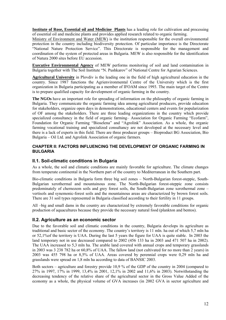**Institute of Rose, Essential oil and Medicine Plants** has a leading role for cultivation and processing of essential oil and medicine plants and provides applied research related to organic farming.

Ministry of Environment and Water (MEW) is the institution responsible for the overall environmental protection in the country including biodiversity protection. Of particular importance is the Directorate "National Nature Protection Service". This Directorate is responsible for the management and coordination of the system of protected areas in Bulgaria. MEW is also responsible for the identification of Natura 2000 sites before EU accession.

**Executive Environmental Agency** of MEW performs monitoring of soil and land contamination in Bulgaria together with The Soil Institute "N. Pushkarov" of National Centre for Agrarian Sciences.

**Agricultural University** in Plovdiv is the leading one in the field of high agricultural education in the country. Since 1987 functions the Agrienvironmental Centre of the University which is the first organization in Bulgaria participating as a member of IFOAM since 1993. The main target of the Centre is to prepare qualified capacity for development of organic farming in the country.

**The NGOs** have an important role for spreading of information on the philosophy of organic farming in Bulgaria. They communicate the organic farming idea among agricultural producers, provide education for stakeholders, organize open days in demonstrations, educational centers and events for popularization of OF among the stakeholders. There are three leading organizations in the country which provide specialized consultancy in the field of organic farming– Association for Organic Farming "Ecofarm", Foundation for Organic Farming "Bioselena" and "Agrolink" Association. As a whole, the organic farming vocational training and specialized consultancy are not developed at the necessary level and there is a lack of experts in this field. There are three producer groups – Bioproduct BG Association, Bio Bulgaria – Oil Ltd. and Agrolink Association of organic farmers.

#### **CHAPTER ІІ: FACTORS INFLUENCING THE DEVELOPMENT OF ORGANIC FARMING IN BULGARIA**

### **ІІ.1. Soil-climatic conditions in Bulgaria**

As a whole, the soil and climatic conditions are mainly favorable for agriculture. The climate changes from temperate continental in the Northern part of the country to Mediterranean in the Southern part.

Bio-climatic conditions in Bulgaria form three big soil zones – North-Bulgarian forest-steppic, South-Bulgarian xerothermal and mountainous zone. The North-Bulgarian forest-steppic zone consists predominately of chernozem soils and grey forest soils, the South-Bulgarian zone xerothermal zone – vertisols and synemonic-forest soils and the mountainous areas are characterized by brown forest soils. There are 31 soil types represented in Bulgaria classified according to their fertility in 11 groups.

All –big and small dams in the country are characterized by extremely favorable conditions for organic production of aquacultures because they provide the necessary natural food (plankton and bentos).

#### **ІІ.2. Agriculture as an economic sector**

Due to the favorable soil and climatic conditions in the country, Bulgaria develops its agriculture as traditional and basic sector of the economy. The country's territory is 11 mln. ha out of which 5,7 mln ha or 52,1%of the territory is UAA. During the last 5 years the figure for UAA is quite stable. In 2003 the land temporary not in use decreased compared to 2002 (456 133 ha in 2003 and 471 507 ha in 2002). The UAA increased to 5,3 mln ha. The arable land covered with annual crops and temporary grasslands in 2003 was 3 238 782 ha or 60,8% of UAA. The fallow land (not cultivated for no more than 2 years) in 2003 was 455 798 ha or 8,5% of UAA. Areas covered by perennial crops were 0,29 mln ha and grasslands were spread on 1,8 mln ha according to data of BANSIC 2003.

Both sectors – agriculture and forestry provide 10,9 % of the GDP of the country in 2004 (compared to 27% in 1997, 17% in 1999, 13,4% in 2001, 12,1% in 2002 and 11,6% in 2003). Notwithstanding the decreasing tendency of the relative share of the agricultural sector in the Gross Value Added of the economy as a whole, the physical volume of GVA increases (in 2002 GVA in sector agriculture and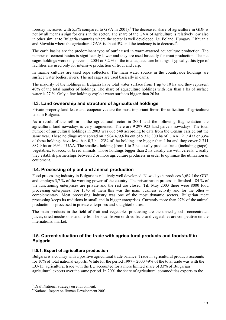forestry increased with 5,5% compared to GVA in 2001).<sup>5</sup> The decreased share of agriculture in GDP is not by all means a sign for crisis in the sector. The share of the GVA of agriculture is relatively low also in other similar to Bulgaria countries where the sector is well developed, i.e. Poland, Hungary, Lithuania and Slovakia where the agricultural GVA is about  $5\%$  and the tendency is to decrease<sup>6</sup>.

The earth basins are the predominant type of outfit used in warm-watered aquaculture production. The number of cement basins is significantly lower and they are used basically for trout production. The net cages holdings were only seven in 2004 or 3,2 % of the total aquaculture holdings. Typically, this type of facilities are used only for intensive production of trout and carp.

In marine cultures are used rope collectors. The main water source in the countryside holdings are surface water bodies, rivers. The net cages are used basically in dams.

The majority of the holdings in Bulgaria have total water surface from 1 up to 10 ha and they represent 40% of the total number of holdings. The share of aquaculture holdings with less than 1 ha of surface water is 27 %. Only a few holdings exploit water surfaces bigger than 20 ha.

# **ІІ.3. Land ownership and structure of agricultural holdings**

Private property land lease and cooperatives are the most important forms for utilization of agriculture land in Bulgaria.

As a result of the reform in the agricultural sector in 2001 and the following fragmentation the agricultural land nowadays is very fragmented. There are 9 297 923 land parcels nowadays. The total number of agricultural holdings in 2003 was 665 548 according to data from the Census carried out the same year. These holdings were spread on 2 904 479,6 ha out of 5 326 300 ha of UAA. 217 473 or 33% of these holdings have less than 0,3 ha. 23% of the holdings are bigger than 1 ha and they cover 2 711 887,9 ha or 93% of UAA. The smallest holding (from 1 to 2 ha usually produce fruits (including grape), vegetables, tobacco, or breed animals. Those holdings bigger than 2 ha usually are with cereals. Usually they establish partnerships between 2 or more agriculture producers in order to optimize the utilization of equipment.

# **ІІ.4. Processing of plant and animal production**

Food processing industry in Bulgaria is relatively well developed. Nowadays it produces 3,6% f the GDP and employs 3,7 % of the working power of the country. The privatization process is finished - 84 % of the functioning enterprises are private and the rest are closed. Till May 2003 there were 8000 food processing enterprises. For 1343 of them this was the main business activity and for the other – complementary. Meat processing industry was one of the most dynamic sectors. Bulgarian meat processing keeps its traditions in small and in bigger enterprises. Currently more than 97% of the animal production is processed in private enterprises and slaughterhouses.

The main products in the field of fruit and vegetables processing are the tinned goods, concentrated juices, dried mushrooms and herbs. The local frozen or dried fruits and vegetables are competitive on the international market.

#### **ІІ.5. Current situation of the trade with agricultural products and foodstuff in Bulgaria**

#### **ІІ.5.1. Export of agriculture production**

Bulgaria is a country with a positive agricultural trade balance. Trade in agricultural products accounts for 10% of total national exports. While for the period 1997 – 2000 49% of the total trade was with the EU-15, agricultural trade with the EU accounted for a more limited share of 33% of Bulgarian agricultural exports over the same period. In 2001 the share of agricultural commodities exports to the

 $\overline{a}$ 

<sup>&</sup>lt;sup>5</sup> Draft National Strategy on environment.

<sup>6</sup> National Report on Human Development 2003.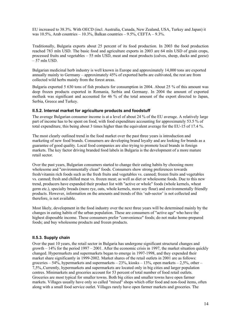EU increased to 38.3%. With OECD (incl. Australia, Canada, New Zealand, USA, Turkey and Japan) it was  $10.5\%$ , Arab countries –  $10.3\%$ , Balkan countries –  $9.5\%$ , CEFTA –  $9.3\%$ .

Traditionally, Bulgaria exports about 25 percent of its food production. In 2003 the food production reached 783 mln USD. The basic food and agriculture exports in 2003 are 64 mln USD of grain crops, processed fruits and vegetables – 55 mln USD, meat and meat products (calves, sheep, ducks and geese)  $-57$  mln USD.

Bulgarian medicinal herb industry is well known in Europe and approximately 14,000 tons are exported annually mainly to Germany – approximately 45% of exported herbs are cultivated, the rest are from collected wild herbs mainly from the forest areas.

Bulgaria exported 5 630 tons of fish products for consumption in 2004. About 25 % of this amount was deep frozen products exported in Romania, Serbia and Germany. In 2004 the amount of exported mollusk was significant and accounted for 46 % of the total amount of the export directed to Japan, Serbia, Greece and Turkey.

#### **ІІ.5.2. Internal market for agriculture products and foodstuff**

The average Bulgarian consumer income is at a level of about 24 % of the EU average. A relatively large part of income has to be spent on food, with food expenditure accounting for approximately 53.5 % of total expenditure, this being about 3 times higher than the equivalent average for the EU-15 of 17.4 %.

The most clearly outlined trend in the food market over the past three years is introduction and marketing of new food brands. Consumers are developing brand loyalty and are looking for brands as a guarantee of good quality. Local food companies are also trying to promote local brands in foreign markets. The key factor driving branded food labels in Bulgaria is the development of a more mature retail sector.

Over the past years, Bulgarian consumers started to change their eating habits by choosing more wholesome and "environmentally clean" foods. Consumers show strong preferences towards fresh/vitamin rich foods such as the fresh fruits and vegetables vs. canned; frozen fruits and vegetables vs. canned; fresh and chilled meat vs. frozen meat; as well as diet or wholesome foods. Due to this new trend, producers have expanded their product list with "active or whole" foods (whole kernels, wheat germ etc.), specialty breads (more rye, oats, whole kernels, more soy flour) and environmentally friendly products. However, information on the amounts and trends of this 'sub-sector' is not collected and therefore, is not available.

Most likely, development in the food industry over the next three years will be determined mainly by the changes in eating habits of the urban population. These are consumers of "active age" who have the highest disposable income. These consumers prefer "convenience" foods; do not make home-prepared foods; and buy wholesome products and frozen products.

#### **ІІ.5.3. Supply chain**

Over the past 10 years, the retail sector in Bulgaria has undergone significant structural changes and growth  $-14\%$  for the period 1997 – 2001. After the economic crisis in 1997, the market situation quickly changed. Hypermarkets and supermarkets began to emerge in 1997-1998, and they expended their market share significantly in 1999-2002. Market shares of the retail outlets in 2001 are as follows: groceries – 54%, hypermarkets and supermarkets –  $23\%$ , kiosks –  $13\%$ , open markets –  $2.5\%$ , other – 7,5%,.Currently, hypermarkets and supermarkets are located only in big cities and larger population centres. Minimarkets and groceries account for 53 percent of total number of food retail outlets. Groceries are most typical for smaller towns. Both big cities and smaller towns have open farmer markets. Villages usually have only so called "mixed" shops which offer food and non-food items, often along with a small food service outlet. Villages rarely have open farmer markets and groceries. The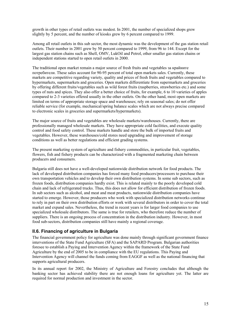growth in other types of retail outlets was modest. In 2001, the number of specialized shops grew slightly by 5 percent, and the number of kiosks grew by 6 percent compared to 1999.

Among all retail outlets in this sub sector, the most dynamic was the development of the gas station retail outlets. Their number in 2001 grew by 50 percent compared to 1999, from 96 to 144. Except for the largest gas station chains such as Shell, OMV, LukOil and Petrol, other smaller gas station chains or independent stations started to open retail outlets in 2000.

The traditional open market remain a major source of fresh fruits and vegetables за крайните потребители. These sales account for 90-95 percent of total open markets sales. Currently, these markets are competitive regarding variety, quality and prices of fresh fruits and vegetables compared to hypermarkets, supermarkets and groceries. Open markets differentiate from supermarkets and groceries by offering different fruits/vegetables such as wild forest fruits (raspberries, strawberries etc.) and some types of nuts and spices. They also offer a better choice of fruits, for example, 6 to 10 varieties of apples compared to 2-3 varieties offered usually in the other outlets. On the other hand, most open markets are limited on terms of appropriate storage space and warehouses; rely on seasonal sales; do not offer reliable service (for example, mechanical/spring balance scales which are not always precise compared to electronic scales in groceries and supermarkets/hypermarkets).

The major source of fruits and vegetables are wholesale markets/warehouses. Currently, there are professionally managed wholesale markets. They have appropriate cold facilities, and execute quality control and food safety control. These markets handle and store the bulk of imported fruits and vegetables. However, these warehouses/cold stores need upgrading and improvement of storage conditions as well as better regulations and efficient grading systems.

The present marketing system of agriculture and fishery commodities, in particular fruit, vegetables, flowers, fish and fishery products can be characterized with a fragmented marketing chain between producers and consumers.

Bulgaria still does not have a well-developed nationwide distribution network for food products. The lack of developed distribution companies has forced many food producers/processors to purchase their own transportation vehicles and to develop their own distribution systems. In some sub sectors, such as frozen foods, distribution companies hardly exist. This is related mainly to the poorly developed cold chain and lack of refrigerated trucks. Thus, this does not allow for efficient distribution of frozen foods. In sub sectors such as alcohol, and meat and meat products, nationwide distribution companies have started to emerge. However, those producers who work with specialized distribution networks continue to rely in part on their own distribution efforts or work with several distributors in order to cover the total market and expand sales. Nevertheless, the trend in recent years is for larger food companies to use specialized wholesale distributors. The same is true for retailers, who therefore reduce the number of suppliers. There is an ongoing process of concentration in the distribution industry. However, in most food sub-sectors, distribution companies still have mainly a regional coverage.

# **ІІ.6. Financing of agriculture in Bulgaria**

The financial government policy for agriculture was done mainly through significant government finance interventions of the State Fund Agriculture (SFA) and the SAPARD Program. Bulgarian authorities foresee to establish a Paying and Intervention Agency within the framework of the State Fund Agriculture by the end of 2005 to be in compliance with the EU regulations. This Paying and Intervention Agency will channel the funds coming from EAGGF as well as the national financing that supports agricultural producers.

In its annual report for 2002, the Ministry of Agriculture and Forestry concludes that although the banking sector has achieved stability there are not enough loans for agriculture yet. The latter are required for normal production and investment in the sector.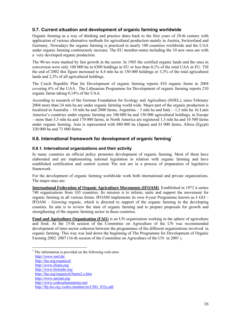# **IІ.7. Current situation and development of organic farming worldwide**

Organic farming as a way of thinking and practice dates back to the first years of 20-th century with application of various alternative methods for agricultural production mainly in Austria, Switzerland and Germany. Nowadays the organic farming is practiced in nearly 100 countries worldwide and the UAA under organic farming continuously increase. The EU member-states including the 10 new ones are with a very developed organic production.

The 90-ies were marked by fast growth in the sector. In 1985 the certified organic lands and the ones in conversion were only 100 000 ha in 6300 holdings in EU or less than 0,1% of the total UAA in EU. Till the end of 2002 this figure increased to 4,4 mln ha in 150 000 holdings or 3,3% of the total agricultural lands and 2,3% of all agricultural holdings.

The Czech Republic Plan for Development of organic farming reports 810 organic farms in 2004 covering 6% of the UAA. The Lithuanian Programme for Development of organic farming reports 210 organic farms taking 0,14% of the UAA.

According to research of the German Foundation for Ecology and Agriculture (SOEL), since February 2004 more than 24 mln ha are under organic farming world wide. Major part of the organic production is localized in Australia – 10 mln ha and 2000 farms, Argentina – 3 mln ha and Italy – 1,3 mln ha. In Latin America's countries under organic farming are 100 000 ha and 150 000 agricultural holdings, in Europe – more than 5,5 mln ha and 170 000 farms, in North America are registered 1,5 mln ha and 10 500 farms under organic farming. Asia is represented with 880 000 ha (Japan) and 61 000 farms, Africa (Egypt) 320 000 ha and 71 000 farms.

# **II.8. International framework for development of organic farming<sup>7</sup>**

#### **ІІ.8.1. International organizations and their activity**

In many countries an official policy promotes development of organic farming. Most of them have elaborated and are implementing national legislation in relation with organic farming and have established certification and control system The rest are in a process of preparation of legislative framework.

For the development of organic farming worldwide work both international and private organizations. The major ones are:

**International Federation of Organic Agriculture Movements (IFOAM)**. Established in 1972 it unites 740 organizations from 103 countries. Its mission is to inform, unite and support the movement for organic farming in all various forms. IFOAM implements its own 4-year Programme known as I–GO – IFOAM – Growing organic, which is directed to support of the organic farming in the developing counties. Its aim is to review the state of organic farming and to prepare proposals for growth and strengthening of the organic farming sector in these countries.

**Food and Agriculture Organization (FAO**) is an UN organization working in the sphere of agriculture and food. At the 15-th session of the Committee on Agriculture of the UN was recommended development of inter-sector cohesion between the programmes of the different organizations involved in organic farming. This way was laid down the beginning of The Programme for Development of Organic Farming 2002–2007 (16-th session of the Committee on Agriculture of the UN in 2001 ).

 $7$  The information is provided on the following web-sites: http://www.soel.de/ http://fao.org/organical/ http://www.ifoam.org/ http://www.biotrade.org/ http://fao.org/organical/frame2-e.htm http://www.unctad.org/ http://www.codexalimentarius.net/

 $\overline{a}$ 

http://ftp.fao.org./codex/standart/en/CHG\_032e.pdf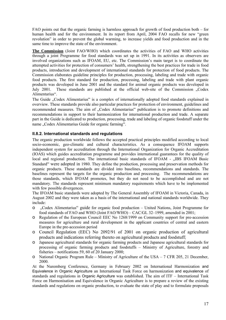FAO points out that the organic farming is harmless approach for growth of food production both – for human health and for the environment. In its report from April, 2004 FAO recalls for new "green revolution" in order to prevent the global warming, to increase yields and food production and in the same time to improve the state of the environment.

**The Commission** (Joint FAO/WHO) which coordinates the activities of FAO and WHO activities through a joint Programme for food standards was set up in 1991. In its activities as observers are involved organizations such as IFOAM, EU, etc. The Commission's main target is to coordinate the attempted activities for protection of consumers' health, strengthening the best practices for trade in food products, introduction and development of international standards for protection of food products. The Commission elaborates guideline principles for production, processing, labeling and trade with organic food products. The first standard for production, processing, labeling and trade with plant organic products was developed in June 2001 and the standard for animal organic products was developed in July 2001. These standards are published at the official web-site of the Commission "Codex Alimentarius".

The Guide "Codex Alimentarius" is a complex of internationally adopted food standards explained in overview. These standards provide also particular practices for protection of environment, guidelines and recommended measures. The aim of "Codex Alimentarius" publication is to promote definitions and recommendations in support to their harmonization for international production and trade. A separate part in the Guide is dedicated to production, processing, trade and labeling of organic foodstuff under the name "Codex Alimentarius Guide for organic farming".

#### **ІІ.8.2. International standards and regulations**

The organic production worldwide follows the accepted practical principles modified according to local socio-economic, geo-climatic and cultural characteristics. As a consequence IFOAM supports independent system for accreditation through the International Organization for Organic Accreditation (IOAS) which guides accreditation programme and provides international guarantees for the quality of local and regional production. The international basic standards of IFOAM - "IBS IFOAM Basic Standard" were adopted in 1980. They define the production, processing and preservation methods for organic products. These standards are divided into baselines, recommendations and standards. The baselines represent the targets for the organic production and processing. The recommendations are those standards, which IFOAM promotes, but they do not need to be accomplished and are not mandatory. The standards represent minimum mandatory requirements which have to be implemented with few possible divergences.

The IFOAM basic standards were adopted by The General Assembly of IFOAM in Victoria, Canada, in August 2002 and they were taken as a basis of the international and national standards worldwide. They include:

- o "Codex Alimentarius" guide for organic food production United Nations, Joint Programme for food standards of FAO and WHO (Joint FAO/WHO) – CAC/GL 32–1999, amended in 2001;
- o Regulation of the European Council EEC No 1268/1999 on Community support for pre-accession measures for agriculture and rural development in the applicant countries of central and eastern Europe in the pre-accession period
- o Council Regulation (EEC) No 2092/91 of 2001 on organic production of agricultural products and indications referring thereto on agricultural products and foodstuff;
- o Japanese agricultural standards for organic farming products and Japanese agricultural standards for processing of organic farming products and foodstuffs – Ministry of Agriculture, forestry and fisheries – notifications 59, 60 of 20 January 2000;
- o National Organic Program Rule Ministry of Agriculture of the USA 7 CFR 205, 21 December, 2000.

At the Nuremberg Conference, Germany in February 2002 on International Harmonization and Equivalence in Organic Agriculture an International Task Force on harmonization and equivalence of standards and regulations in Organic Agriculture was established. The aim of ITF – International Task Force on Harmonisation and Equivalence in Organic Agriculture is to prepare a review of the existing standards and regulations on organic production, to evaluate the state of play and to formulate proposals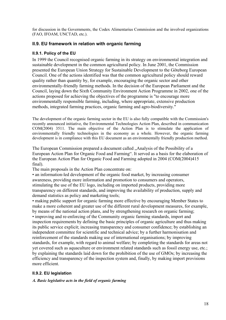for discussion in the Governments, the Codex Alimentarius Commission and the involved organizations (FAO, IFOAM, UNCTAD, etc.).

# **ІІ.9. EU framework in relation with organic farming**

# **ІІ.9.1. Policy of the EU**

In 1999 the Council recognised organic farming in its strategy on environmental integration and sustainable development in the common agricultural policy. In June 2001, the Commission presented the European Union Strategy for Sustainable Development to the Göteborg European Council. One of the actions identified was that the common agricultural policy should reward quality rather than quantity by, for example, encouraging the organic sector and other environmentally-friendly farming methods. In the decision of the European Parliament and the Council, laying down the Sixth Community Environment Action Programme in 2002, one of the actions proposed for achieving the objectives of the programme is "to encourage more environmentally responsible farming, including, where appropriate, extensive production methods, integrated farming practices, organic farming and agro-biodiversity."

The development of the organic farming sector in the EU is also fully compatible with the Commission's recently announced initiative, the Environmental Technologies Action Plan, described in communication COM(2004) 3511. The main objective of the Action Plan is to stimulate the application of environmentally friendly technologies in the economy as a whole. However, the organic farming development is in compliance with this EU document as an environmentally friendly production method.

The European Commission prepared a document called . Analysis of the Possibility of a European Action Plan for Organic Food and Farming". It served as a basis for the elaboration of the European Action Plan for Organic Food and Farming adopted in 2004 (COM(2004)415 final).

The main proposals in the Action Plan concentrate on:

• an information-led development of the organic food market, by increasing consumer awareness, providing more information and promotion to consumers and operators, stimulating the use of the EU logo, including on imported products, providing more transparency on different standards, and improving the availability of production, supply and demand statistics as policy and marketing tools;

• making public support for organic farming more effective by encouraging Member States to make a more coherent and greater use of the different rural development measures, for example, by means of the national action plans, and by strengthening research on organic farming; • improving and re-enforcing of the Community organic farming standards, import and inspection requirements by defining the basic principles of organic agriculture and thus making its public service explicit; increasing transparency and consumer confidence; by establishing an independent committee for scientific and technical advice; by a further harmonisation and reinforcement of the standards making use of international organisations; by improving standards, for example, with regard to animal welfare; by completing the standards for areas not yet covered such as aquaculture or environment related standards such as fossil energy use, etc.; by explaining the standards laid down for the prohibition of the use of GMOs; by increasing the efficiency and transparency of the inspection system and, finally, by making import provisions more efficient.

# **ІІ.9.2. EU legislation**

*А. Basic legislative acts in the field of organic farming*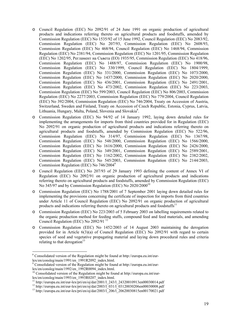- o Council Regulation (EEC) No 2092/91 of 24 June 1991 on organic production of agricultural products and indications referring thereto on agricultural products and foodstuffs, amended by Commission Regulation (EEC) No 1535/92 of 15 June 1992, Council Regulation (EEC) No 2083/92, Commission Regulation (EEC) No 207/93, Commission Regulation (EEC) No 2608/93, Commission Regulation (EEC) No 468/94, Council Regulation (EEC) No 1468/94, Commission Regulation (EEC) No 2381/94, Commission Regulation (EEC) No 1201/95, Commission Regulation (EEC) No 1202/95, Регламент на Съвета (ЕО) 1935/95, Commission Regulation (EEC) No 418/96, Commission Regulation (EEC) No 1488/97, Commission Regulation (EEC) No 1900/98, Commission Regulation (EEC) No 330/1999, Council Regulation (EEC) No 1804/1999, Commission Regulation (EEC) No 331/2000, Commission Regulation (EEC) No 1073/2000, Commission Regulation (EEC) No 1437/2000, Commission Regulation (EEC) No 2020/2000, Commission Regulation (EEC) No 436/2001, Commission Regulation (EEC) No 2491/2001, Commission Regulation (EEC) No 473/2002, Commission Regulation (EEC) No 223/2003, Commission Regulation (EEC) No 599/2003, Council Regulation (EEC) No 806/2003, Commission Regulation (EEC) No 2277/2003, Commission Regulation (EEC) No 779/2004, Council Regulation (EEC) No 392/2004, Commission Regulation (EEC) No 746/2004, Treaty on Accession of Austria, Switzerland, Sweden and Finland, Treaty on Accession of Czech Republic, Estonia, Cyprus, Latvia, Lithuania, Hungary, Malta, Poland, Slovenia and Slovakia<sup>8</sup>.
- o Commission Regulation (EEC) No 94/92 of 14 January 1992, laying down detailed rules for implementing the arrangements for imports from third countries provided for in Regulation (EEC) No 2092/91 on organic production of agricultural products and indications referring thereto on agricultural products and foodstuffs, amended by Commission Regulation (EEC) No 522/96, Commission Regulation (EEC) No 314/97, Commission Regulation (EEC) No 1367/98, Commission Regulation (EEC) No 548/2000, Commission Regulation (EEC) No 1566/2000, Commission Regulation (EEC) No 1616/2000, Commission Regulation (EEC) No 2426/2000, Commission Regulation (EEC) No 349/2001, Commission Regulation (EEC) No 2589/2001, Commission Regulation (EEC) No 1162/2002, Commission Regulation (EEC) No 2382/2002, Commission Regulation (EEC) No 545/2003, Commission Regulation (EEC) No 2144/2003, Commission Regulation (EEC) No 746/20049
- o Council Regulation (EEC) No 207/93 of 29 January 1993 defining the content of Annex VI of Regulation (EEC) No 2092/91 on organic production of agricultural products and indications referring thereto on agricultural products and foodstuffs, amended by Commission Regulation (EEC) No 345/97 and by Commission Regulation (EEC) No 2020/200010
- o Commission Regulation (EEC) No 1788/2001 of 7 September 2001 laying down detailed rules for implementing the provisions concerning the certificate of inspection for imports from third countries under Article 11 of Council Regulation (EEC) No 2092/91 on organic production of agricultural products and indications referring thereto on agricultural products and foodstuffs $^{11}$
- o Commission Regulation (EEC) No 223/2003 of 5 February 2003 on labelling requirements related to the organic production method for feeding stuffs, compound feed and feed materials, and amending Council Regulation (EEC) No 2092/91 12
- o Commission Regulation (EEC) No 1452/2003 of 14 August 2003 maintaining the derogation provided for in Article 6(3)(a) of Council Regulation (EEC) No 2092/91 with regard to certain species of seed and vegetative propagating material and laying down procedural rules and criteria relating to that derogation $13$

 $\overline{a}$ 

<sup>&</sup>lt;sup>8</sup> Consolidated version of the Regulation might be found at http://europa.eu.int/eurlex/en/consleg/main/1991/en\_1991R2092\_index.html.

<sup>&</sup>lt;sup>9</sup> Consolidated version of the Regulation might be found at http://europa.eu.int/eurlex/en/consleg/main/1992/en\_1992R0094\_index.html.

 $10$  Consolidated version of the Regulation might be found at http://europa.eu.int/eurlex/en/consleg/main/1993/en\_1993R0207\_index.html.<br><sup>11</sup> http://europa.eu.int/eur-lex/pri/en/oj/dat/2001/1\_243/1\_24320010913en00030014.pdf

<sup>&</sup>lt;sup>12</sup> http://europa.eu.int/eur-lex/pri/en/oj/dat/2003/l\_031/l\_03120030206en00030008.pdf<br><sup>13</sup> http://europa.eu.int/eur-lex/pri/en/oj/dat/2003/l\_206/l\_20620030815en00170021.pdf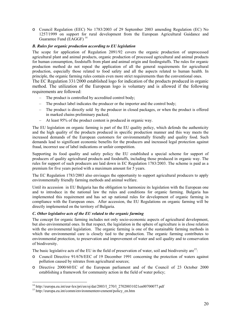o Council Regulation (EEC) No 1783/2003 of 29 September 2003 amending Regulation (EC) No 1257/1999 on support for rural development from the European Agricultural Guidance and Guarantee Fund (EAGGF)<sup>14</sup>

#### *B. Rules for organic production according to EU legislation*

The scope for application of Regulation 2091/92 covers the organic production of unprocessed agricultural plant and animal products, organic production of processed agricultural and animal products for human consumption, foodstuffs from plant and animal origin and feedingstuffs. The rules for organic production method do not repeal the application of all the general requirements for agricultural production, especially those related to food safety and all the aspects related to human health. In principle, the organic farming rules contain even more strict requirements than the conventional ones.

The EC Regulation 331/2000 established logo for indication of the products produced in organic method. The utilization of the European logo is voluntary and is allowed if the following requirements are followed:

- The product is controlled by accredited control body;
- The product label indicates the producer or the importer and the control body;
- The product is directly sold by the producer in closed packages, or when the product is offered in marked chains preliminary packed;
- At least 95% of the product content is produced in organic way.

The EU legislation on organic farming is part of the EU quality policy, which defends the authenticity and the high quality of the products produced in specific production manner and this way meets the increased demands of the European customers for environmentally friendly and quality food. Such demands lead to significant economic benefits for the producers and increased legal protection against fraud, incorrect use of label indications or unfair competition.

Supporting its food quality and safety policy the EU established a special scheme for support of producers of quality agricultural products and foodstuffs, including those produced in organic way. The rules for support of such producers are laid down in EC Regulation 1783/2003. The scheme is paid as a premium for five years period with a maximum amount for 5 years.

The EC Regulation 1783/2003 also envisages the opportunity to support agricultural producers to apply environmentally friendly farming methods and animal welfare.

Until its accession in EU Bulgaria has the obligation to harmonize its legislation with the European one and to introduce in the national law the rules and conditions for organic farming. Bulgaria has implemented this requirement and has set up national rules for development of organic farming in compliance with the European ones. After accession, the EU Regulations on organic farming will be directly implemented on the territory of Bulgaria.

#### *C. Other legislative acts of the EU related to the organic farming*

The concept for organic farming includes not only socio-economic aspects of agricultural development, but also environmental ones. In that respect, the legislation in the sphere of agriculture is in close relation with the environmental legislation. The organic farming is one of the sustainable farming methods in which the environmental care is closely tied to the production. The organic farming contributes to environmental protection, to preservation and improvement of water and soil quality and to conservation of biodiversity.

The basic legislative acts of the EU in the field of preservation of water, soil and biodiversity are<sup>15</sup>:

- o Council Directive 91/676/EEC of 19 December 1991 concerning the protection of waters against pollution caused by nitrates from agricultural sources;
- o Directive 2000/60/EC of the European parliament and of the Council of 23 October 2000 establishing a framework for community action in the field of water policy;

 $\overline{a}$ 

<sup>&</sup>lt;sup>14</sup> http://europa.eu.int/eur-lex/pri/en/oj/dat/2003/l\_270/l\_27020031021en00700077.pdf <sup>15</sup> http://europa.eu.int/comm/environmentenvcnment/policy\_en.htm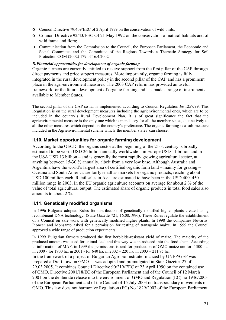- o Council Directive 79/409/EEC of 2 April 1979 on the conservation of wild birds;
- o Council Directive 92/43/EEC Of 21 May 1992 on the conservation of natural habitats and of wild fauna and flora;
- o Communication from the Commission to the Council, the European Parliament, the Economic and Social Committee and the Committee of the Regions Towards a Thematic Strategy for Soil Protection COM (2002) 179 of 16.4.2002

### *D.Financial opportunities for development of organic farming*

Organic farmers are currently entitled to receive support from the first pillar of the CAP through direct payments and price support measures. More importantly, organic farming is fully integrated in the rural development policy in the second pillar of the CAP and has a prominent place in the agri-environment measures. The 2003 CAP reform has provided an useful framework for the future development of organic farming and has made a range of instruments available to Member States.

The second pillar of the CAP so far is implemented according to Council Regulation № 1257/99. This Regulation is on the rural development measures including the agrienvironmental ones, which are to be included in the country's Rural Development Plan. It is of great significance the fact that the agrienvironmental measure is the only one which is mandatory for all the member-states, distinctively to all the other measures which depend on the country's preference. The organic farming is a sub-measure included in the Agrienvironmental scheme which the member states can choose.

# **ІІ.10. Market opportunities for organic farming development**

According to the OECD, the organic sector at the beginning of the 21-st century is broadly estimated to be worth USD 26 billion annually worldwide – in Europe USD 11 billion and in the USA USD 13 billion – and is generally the most rapidly growing agricultural sector, at anything between 15-30 % annually, albeit from a very low base. Although Australia and Argentina have the world's largest area of certified organic farm land – mainly for grazing – Oceania and South America are fairly small as markets for organic products, reaching about USD 100 million each. Retail sales in Asia are estimated to have been in the USD 400–450 million range in 2003. In the EU organic agriculture accounts on average for about 2 % of the value of total agricultural output. The estimated share of organic products in total food sales also amounts to about 2 %.

# **ІІ.11. Genetically modified organisms**

In 1996 Bulgaria adopted Rules for distribution of genetically modified higher plants created using recombinant DNA technology, (State Gazette 721, 16.08.1996). These Rules regulate the establishment of a Council on safe work with genetically modified higher plants. In 1998 the companies Novartis, Pioneer and Monsanto asked for a permission for testing of transgenic maize. In 1999 the Council approved a wide range of production experiments.

In 1999 Bulgarian farmers produced the first herbicide-resistant yield of maize. The majority of the produced amount was used for animal feed and this way was introduced into the food chain. According to information of MAF, in 1999 the permissions issued for production of GMO maize are for 1300 ha, in 2000 - for 1900 ha, in 2001 - for 640 ha, in 2002 – 220 ha, in 2003 – 211,95 ha. In the framework of a project of Bulgarian Agrobio Institute financed by UNEP/GEF was prepared a Draft Law on GMO. It was adopted and promulgated in State Gazette 27 of 29.03.2005. It combines Council Directive 90/219/EEC of 23 April 1990 on the contained use of GMO, Directive 2001/18/EC of the European Parliament and of the Council of 12 March 2001 on the deliberate release into the environment of GMO and Regulation (EC) no 1946/2003 of the European Parliament and of the Council of 15 July 2003 on transboundary movements of GMO. This law does not harmonize Regulation (EC) No 1829/2003 of the European Parliament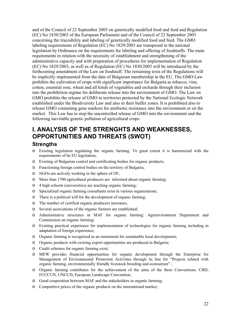and of the Council of 22 September 2003 on genetically modified food and feed and Regulation (EC) No 1830/2003 of the European Parliament and of the Council of 22 September 2003 concerning the traceability and labeling of genetically modified food and feed. The GMO labeling requirements of Regulation (EC) No 1829/2003 are transposed in the national legislation by Ordinance on the requirements for labeling and offering of foodstuffs. The main requirements in relation with the necessity of establishment and strengthening of the administrative capacity and with preparation of procedures for implementation of Regulation (EC) No 1829/2003, as well as of Regulation (EC) No 1830/2003 will be introduced by the forthcoming amendment of the Law on foodstuff. The remaining texts of the Regulations will be implicitly implemented from the date of Bulgarian membership in the EU. The GMO Law prohibits the cultivation of crops with significant importance for Bulgaria as tobacco, vine, cotton, essential rose, wheat and all kinds of vegetables and orchards through their inclusion into the prohibition regime for deliberate release into the environment of GMO. The Law on GMO prohibits the release of GMO in territories protected by the National Ecologic Network established under the Biodiversity Law and also in their buffer zones. It is prohibited also to release GMO containing gene markers for antibiotic resistance into the environment or on the market. This Law has to stop the uncontrolled release of GMO into the environment and the following inevitable genetic pollution of agricultural crops.

# **І. ANALYSIS OF THE STRENGHTS AND WEAKNESSES, OPPORTUNITIES AND THREATS (SWOT)**

# **Strengths**

- o Existing legislation regulating the organic farming. To great extent it is harmonized with the requirements of he EU legislation;
- o Existing of Bulgarian control and certificating bodies for organic products;
- o Functioning foreign control bodies on the territory of Bulgaria;
- o NGOs are actively working in the sphere of OF;
- o More than 1700 agricultural producers are informed about organic farming;
- o 4 high schools (universities) are teaching organic farming;
- o Specialized organic farming consultants exist in various organizations;
- o There is a political will for the development of organic farming;
- o The number of certified organic producers increases;
- o Several associations of the organic farmers are established;
- o Administrative structures in MAF for organic farming: Agrienvironment Department and Commission on organic farming;
- o Existing practical experience for implementation of technologies for organic farming including in adaptation of foreign experience;
- o Organic farming is recognized as an instrument for sustainable local development;
- o Organic products with existing export opportunities are produced in Bulgaria;
- o Credit schemes for organic farming exist;
- o MEW provides financial opportunities for organic development through the Enterprise for Management of Environmental Protection Activities through its line for "Projects related with organic farming, environmentally friendly livestock breeding and ecotourism" ;
- o Organic farming contributes for the achievement of the aims of the three Conventions: CBD, FCCCUN, UNCCD, European Landscape Convention;
- o Good cooperation between MAF and the stakeholders in organic farming;
- o Competitive prices of the organic products on the international market;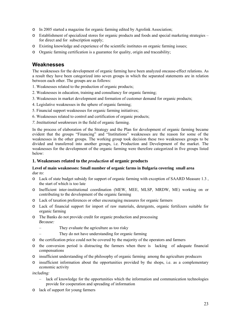- o In 2005 started a magazine for organic farming edited by Agrolink Association;
- o Establishment of specialized stores for organic products and foods and special marketing strategies for direct and for subscription supply;
- o Existing knowledge and experience of the scientific institutes on organic farming issues;
- o Organic farming certification is a guarantee for quality, origin and traceability;

# **Weaknesses**

The weaknesses for the development of organic farming have been analyzed oncause-effect relations. As a result they have been categorized into seven groups in which the separated statements are in relation between each other. The groups are as follows:

- 1. Weaknesses related to the production of organic products;
- 2. Weaknesses in education, training and consultancy for organic farming;
- 3. Weaknesses in market development and formation of customer demand for organic products;
- 4. Legislative weaknesses in the sphere of organic farming;
- 5. Financial support weaknesses for organic farming initiatives;
- 6. Weaknesses related to control and certification of organic products;
- *7. Institutional weaknesses in* the field of organic farming.

In the process of elaboration of the Strategy and the Plan for development of organic farming became evident that the groups "Financing" and "Institutions" weaknesses are the reason for some of the weaknesses in the other groups. The working group took decision these two weaknesses groups to be divided and transferred into another groups, i.e. Production and Development of the market. The weaknesses for the development of the organic farming were therefore categorized in five groups listed below:

#### **1. Weaknesses related to the** *production* **of organic products**

#### **Level of main weaknesses: Small number of organic farms in Bulgaria covering small area**  *due to:*

- o Lack of state budget subsidy for support of organic farming with exception of SAARD Measure 1.3 , the start of which is too late
- o Inefficient inter-institutional coordination (MEW, MEE, MLSP, MRDW, ME) working on or contributing to the development of the organic farming
- o Lack of taxation preferences or other encouraging measures for organic farmers
- o Lack of financial support for import of raw materials, detergents, organic fertilizers suitable for organic farming
- o The Banks do not provide credit for organic production and processing *Because:* 
	- They evaluate the agriculture as too risky
		- They do not have understanding for organic farming
- o the certification price could not be covered by the majority of the operators and farmers
- o the conversion period is distracting the farmers when there is lacking of adequate financial compensations
- o insufficient understanding of the philosophy of organic farming among the agriculture producers
- o insufficient information about the opportunities provided by the shops, i.e. as a complementary economic activity

*including:* 

- lack of knowledge for the opportunities which the information and communication technologies provide for cooperation and spreading of information
- o lack of support for young farmers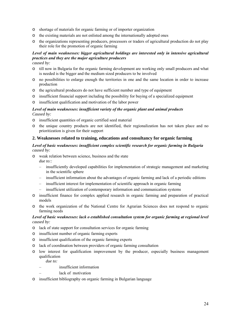- o shortage of materials for organic farming or of importer organization
- o the existing materials are not enlisted among the internationally adopted ones
- o the organizations representing producers, processors or traders of agricultural production do not play their role for the promotion of organic farming

# *Level of main weaknesses: bigger agricultural holdings are interested only in intensive agricultural practices and they are the major agriculture producers*

*caused by:* 

- o till now in Bulgaria for the organic farming development are working only small producers and what is needed is the bigger and the medium sized producers to be involved
- o no possibilities to enlarge enough the territories in one and the same location in order to increase production
- o the agricultural producers do not have sufficient number and type of equipment
- o insufficient financial support including the possibility for buying of a specialized equipment
- o insufficient qualification and motivation of the labor power

#### *Level of main weaknesses: insufficient variety of the organic plant and animal products Caused by:*

- o insufficient quantities of organic certified seed material
- o the unique country products are not identified, their regionalization has not taken place and no prioritization is given for their support

#### **2. Weaknesses related to training, educations and consultancy for organic farming**

#### *Level of basic weaknesses: insufficient complex scientific research for organic farming in Bulgaria caused by:*

- o weak relation between science, business and the state *due to::* 
	- insufficiently developed capabilities for implementation of strategic management and marketing in the scientific sphere
	- insufficient information about the advantages of organic farming and lack of a periodic editions
	- insufficient interest for implementation of scientific approach in organic farming
	- insufficient utilization of contemporary information and communication systems
- o insufficient finance for complex applied research in organic farming and preparation of practical models
- o the work organization of the National Centre for Agrarian Sciences does not respond to organic farming needs

#### *Level of basic weaknesses: lack o established consultation system for organic farming at regional level caused by:*

- o lack of state support for consultation services for organic farming
- o insufficient number of organic farming experts
- o insufficient qualification of the organic farming experts
- o lack of coordination between providers of organic farming consultation
- o low interest for qualification improvement by the producer, especially business management qualification

*due to:* 

- insufficient information
- lack of motivation
- o insufficient bibliography on organic farming in Bulgarian language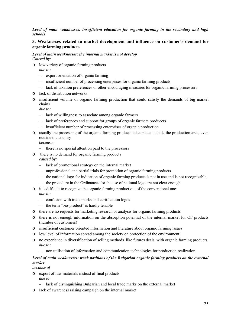#### *Level of main weaknesses: insufficient education for organic farming in the secondary and high schools*

# **3. Weaknesses related to market development and influence on customer's demand for organic farming products**

#### *Level of main weaknesses: the internal market is not develop Caused by:*

o low variety of organic farming products *due to:*

- export orientation of organic farming
- insufficient number of processing enterprises for organic farming products
- lack of taxation preferences or other encouraging measures for organic farming processors
- o lack of distribution networks
- o insufficient volume of organic farming production that could satisfy the demands of big market chains

*due to:* 

- lack of willingness to associate among organic farmers
- lack of preferences and support for groups of organic farmers producers
- insufficient number of processing enterprises of organic production
- o usually the processing of the organic farming products takes place outside the production area, even outside the country

*because:* 

- there is no special attention paid to the processors
- o there is no demand for organic farming products *caused by:* 
	- lack of promotional strategy on the internal market
	- unprofessional and partial trials for promotion of organic farming products
	- the national logo for indication of organic farming products is not in use and is not recognizable,
	- the procedure in the Ordinances for the use of national logo are not clear enough
- o it is difficult to recognize the organic farming product out of the conventional ones *due to:* 
	- confusion with trade marks and certification logos
	- the term "bio-product" is hardly tenable
- o there are no requests for marketing research or analysis for organic farming products
- o there is not enough information on the absorption potential of the internal market for OF products (number of customers)
- o insufficient customer oriented information and literature about organic farming issues
- o low level of information spread among the society on protection of the environment
- o no experience in diversification of selling methods like futures deals with organic farming products *due to:* 
	- non utilisation of information and communication technologies for production realization

#### *Level of main weaknesses: weak positions of the Bulgarian organic farming products on the external market*

*because of* 

- o export of raw materials instead of final products
	- *due to:*
	- lack of distinguishing Bulgarian and local trade marks on the external market
- o lack of awareness raising campaign on the internal market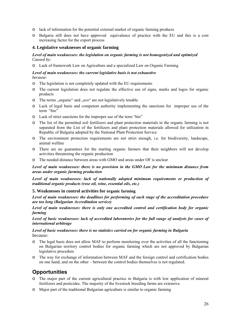- o lack of information for the potential external market of organic farming products
- o Bulgaria still does not have approved equivalence of practice with the EU and this is a cost increasing factor for the export process

#### **4. Legislative weaknesses of organic farming**

#### *Level of main weaknesses: the legislation on organic farming is not homogenized and optimized Caused by:*

o Lack of framework Law on Agriculture and a specialized Law on Organic Farming

#### *Level of main weaknesses: the current legislative basis is not exhaustive because:*

- o The legislation is not completely updated with the EU requirements
- o The current legislation does not regulate the effective use of signs, marks and logos for organic products
- o The terms "organic" and "eco" are not legislatively tenable
- o Lack of legal basis and competent authority implementing the sanctions for improper use of the term "bio"
- o Lack of strict sanctions for the improper use of the term "bio"
- o The list of the permitted soil fertilizers and plant protection materials in the organic farming is not separated from the List of the fertilizers and plant protection materials allowed for utilization in Republic of Bulgaria adopted by the National Plant Protection Service
- o The environment protection requirements are not strict enough, i.e. for biodiversity, landscape, animal welfare
- o There are no guarantees for the starting organic farmers that their neighbors will not develop activities threatening the organic production
- o The needed distance between areas with GMO and areas under OF is unclear

#### *Level of main weaknesses: there is no provision in the GMO Law for the minimum distance from areas under organic farming production*

*Level of main weaknesses: lack of nationally adopted minimum requirements or production of traditional organic products (rose oil, wine, essential oils, etc.)* 

#### **5. Weaknesses in control activities for organic farming**

*Level of main weaknesses: the deadlines for performing of each stage of the accreditation procedure are too long (Bulgarian Accreditation service)* 

*Level of main weaknesses: there is only one accredited control and certification body for organic farming* 

*Level of basic weaknesses: lack of accredited laboratories for the full range of analysis for cases of international arbitrage* 

#### *Level of basic weaknesses: there is no statistics carried on for organic farming in Bulgaria because:*

- o The legal basis does not allow MAF to perform monitoring over the activities of all the functioning on Bulgarian territory control bodies for organic farming which are not approved by Bulgarian legislative procedure
- o The way for exchange of information between MAF and the foreign control and certification bodies on one hand, and on the other – between the control bodies themselves is not regulated.

# **Opportunities**

- o The major part of the current agricultural practice in Bulgaria is with low application of mineral fertilizers and pesticides. The majority of the livestock breeding farms are extensive.
- o Major part of the traditional Bulgarian agriculture is similar to organic farming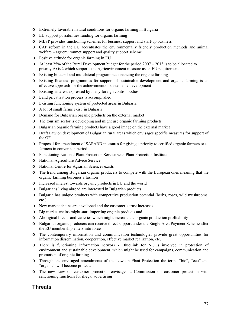- o Extremely favorable natural conditions for organic farming in Bulgaria
- o EU support possibilities funding for organic farming
- o MLSP provides functioning schemes for business support and start-up business
- o CAP reform in the EU accentuates the environmentally friendly production methods and animal welfare – agrienvironmet support and quality support scheme
- o Positive attitude for organic farming in EU
- $\circ$  At least 25% of the Rural Development budget for the period 2007 2013 is to be allocated to priority Axis 2 which supports the Agrienvironment measure as an EU requirement
- o Existing bilateral and multilateral programmes financing the organic farming
- o Existing financial programmes for support of sustainable development and organic farming is an effective approach for the achievement of sustainable development
- o Existing interest expressed by many foreign control bodies
- o Land privatization process is accomplished
- o Existing functioning system of protected areas in Bulgaria
- o A lot of small farms exist in Bulgaria
- o Demand for Bulgarian organic products on the external market
- o The tourism sector is developing and might use organic farming products
- o Bulgarian organic farming products have a good image on the external market
- o Draft Law on development of Bulgarian rural areas which envisages specific measures for support of the OF
- o Proposal for amendment of SAPARD measures for giving a priority to certified organic farmers or to farmers in conversion period
- o Functioning National Plant Protection Service with Plant Protection Institute
- o National Agriculture Advice Service
- o National Centre for Agrarian Sciences exists
- o The trend among Bulgarian organic producers to compete with the European ones meaning that the organic farming becomes a fashion
- o Increased interest towards organic products in EU and the world
- o Bulgarians living abroad are interested in Bulgarian products
- o Bulgaria has unique products with competitive production potential (herbs, roses, wild mushrooms, etc.)
- o New market chains are developed and the customer's trust increases
- o Big market chains might start importing organic products and
- o Aboriginal breeds and varieties which might increase the organic production profitability
- o Bulgarian organic producers can receive direct support under the Single Area Payment Scheme after the EU membership enters into force
- o The contemporary information and communication technologies provide great opportunities for information dissemination, cooperation, effective market realization, etc.
- o There is functioning information network BlueLink for NGOs involved in protection of environment and sustainable development, which might be used for campaigns, communication and promotion of organic farming
- o Through the envisaged amendments of the Law on Plant Protection the terms "bio", "eco" and "organic" will become protected
- o The new Law on customer protection envisages a Commission on customer protection with sanctioning functions for illegal advertising

# **Threats**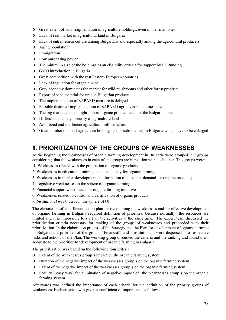- o Great extent of land fragmentation of agriculture holdings, even in the small ones
- o Lack of real market of agricultural land in Bulgaria
- o Lack of entrepreneur culture among Bulgarians and especially among the agricultural producers
- o Aging population
- o Immigration
- o Low purchasing power
- o The minimum size of the holdings as an eligibility criteria for support by EU funding
- o GMO introduction in Bulgaria
- o Great competition with the rest Eastern European countries
- o Lack of regulation for organic wine .
- o Grey economy dominates the market for wild mushrooms and other forest products
- o Export of seed material for unique Bulgarian products
- o The implementation of SAPARD measure is delayed
- o Possible distorted implementation of SAPARD agrienvironment measure.
- o The big market chains might import organic products and not the Bulgarian ones
- o Difficult and costly security of agriculture land
- o Amortized and inefficient agricultural infrastructure
- o Great number of small agriculture holdings (semi-subsistence) in Bulgaria which have to be enlarged

# **ІІ. PRIORITIZATION OF THE GROUPS OF WEAKNESSES**

At the beginning the weaknesses of organic farming development in Bulgaria were grouped in 7 groups considering that the weaknesses in each of the groups are in relation with each other. The groups were:

- 1. Weaknesses related with the production of organic products;
- 2. Weaknesses in education, training and consultancy for organic farming;
- 3. Weaknesses in market development and formation of customer demand for organic products;
- 4. Legislative weaknesses in the sphere of organic farming;
- 5. Financial support weaknesses for organic farming initiatives;
- 6. Weaknesses related to control and certification of organic products;
- *7. Institutional weaknesses in* the sphere of OF

The elaboration of an efficient action plan for overcoming the weaknesses and for effective development of organic farming in Bulgaria required definition of priorities, because normally the resources are limited and it is impossible to start all the activities at the same time. The expert team discussed the prioritization criteria necessary for ranking of the groups of weaknesses and proceeded with their prioritization. In the elaboration process of the Strategy and the Plan for development of organic farming in Bulgaria the priorities of the groups "Financial" and "Institutional" were dispersed into respective tasks and actions of the Plan. The working group discussed the criteria and the ranking and found them adequate to the priorities for development of organic farming in Bulgaria.

The prioritization was based on the following four criteria:

- o Extent of the weaknesses group's impact on the organic farming system
- o Duration of the negative impact of the weaknesses group's on the organic farming system
- o Extent of the negative impact of the weaknesses group's on the organic farming system
- o Facility ( easy way) for elimination of negative impact of the weaknesses group's on the organic farming system

Afterwards was defined the importance of each criteria for the definition of the priority groups of weaknesses. Each criterion was given a coefficient of importance as follows: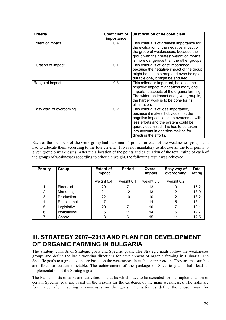| <b>Criteria</b>        | <b>Coefficient of</b> | Justification of he coefficient                                                                                                                                                                                                                                           |
|------------------------|-----------------------|---------------------------------------------------------------------------------------------------------------------------------------------------------------------------------------------------------------------------------------------------------------------------|
| Extent of impact       | importance<br>0,4     | This criteria is of greatest importance for<br>the evaluation of the negative impact of<br>the group of weaknesses, because the<br>group with the greatest weight of impact<br>is more dangerous than the other groups                                                    |
| Duration of impact     | 0,1                   | This criteria is of least importance,<br>because the negative impact of the group<br>might be not so strong and even being a<br>durable one, it might be endured.                                                                                                         |
| Range of impact        | 0,3                   | This criteria is important, because the<br>negative impact might affect many and<br>important aspects of the organic farming.<br>The wider the impact of a given group is,<br>the harder work is to be done for its<br>elimination.                                       |
| Easy way of overcoming | 0,2                   | This criteria is of less importance,<br>because it makes it obvious that the<br>negative impact could be overcome with<br>less efforts and the system could be<br>quickly optimized This has to be taken<br>into account in decision-making for<br>directing the efforts. |

Each of the members of the work group had maximum 4 points for each of the weaknesses groups and had to allocate them according to the four criteria. It was not mandatory to allocate all the four points to given group o weaknesses. After the allocation of the points and calculation of the total rating of each of the groups of weaknesses according to criteria's weight, the following result was achieved:

| <b>Priority</b> | Group         | <b>Extent of</b><br>impact | <b>Period</b> | <b>Overall</b><br>impact | Easy way of<br>overcoming | Total<br>rating |
|-----------------|---------------|----------------------------|---------------|--------------------------|---------------------------|-----------------|
|                 |               | weight 0,4                 | weight 0,1    | weight 0,3               | weight 0,2                |                 |
|                 | Financial     | 29                         |               | 13                       |                           | 16,2            |
| 2               | Marketing     | 21                         | 12            | 13                       | 2                         | 13,9            |
| 3               | Production    | 22                         | 10            | 10                       | 2                         | 13,2            |
| 4               | Educational   | 17                         | 11            | 14                       | 5                         | 13,1            |
| 5               | Legislative   | 20                         |               | 10                       |                           | 13,1            |
| 6               | Institutional | 16                         | 11            | 14                       | 5                         | 12,7            |
|                 | Control       | 13                         | 6             | 15                       | 11                        | 12,5            |

# **ІІІ. STRATEGY 2007–2013 AND PLAN FOR DEVELOPMENT OF ORGANIC FARMING IN BULGARIA**

The Strategy consists of Strategic goals and Specific goals. The Strategic goals follow the weaknesses groups and define the basic working directions for development of organic farming in Bulgaria. The Specific goals to a great extent are based on the weaknesses in each concrete group. They are measurable and fixed to certain timetable. The achievement of the package of Specific goals shall lead to implementation of the Strategic goal.

The Plan consists of tasks and activities. The tasks which have to be executed for the implementation of certain Specific goal are based on the reasons for the existence of the main weaknesses. The tasks are formulated after reaching a consensus on the goals. The activities define the chosen way for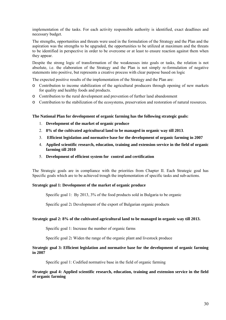implementation of the tasks. For each activity responsible authority is identified, exact deadlines and necessary budget.

The strengths, opportunities and threats were used in the formulation of the Strategy and the Plan and the aspiration was the strengths to be upgraded, the opportunities to be utilized at maximum and the threats to be identified in perspective in order to be overcome or at least to ensure reaction against them when they appear.

Despite the strong logic of transformation of the weaknesses into goals or tasks, the relation is not absolute, i.e. the elaboration of the Strategy and the Plan is not simply re-formulation of negative statements into positive, but represents a creative process with clear purpose based on logic

The expected positive results of the implementation of the Strategy and the Plan are:

- o Contribution to income stabilization of the agricultural producers through opening of new markets for quality and healthy foods and products.
- o Contribution to the rural development and prevention of further land abandonment
- o Contribution to the stabilization of the ecosystems, preservation and restoration of natural resources.

**The National Plan for development of organic farming has the following strategic goals:**

- 1. **Development of the market of organic produce**
- 2. **8% of the cultivated agricultural land to be managed in organic way till 2013**.
- 3. **Efficient legislation and normative base for the development of organic farming in 2007**
- 4. **Applied scientific research, education, training and extension service in the field of organic farming till 2010**
- 5. **Development of efficient system for control and certification**

The Strategic goals are in compliance with the priorities from Chapter II. Each Strategic goal has Specific goals which are to be achieved trough the implementation of specific tasks and sub-actions.

#### **Strategic goal 1: Development of the market of organic produce**

Specific goal 1: By 2013, 3% of the food products sold in Bulgaria to be organic

Specific goal 2**:** Development of the export of Bulgarian organic products

#### **Strategic goal 2: 8% of the cultivated agricultural land to be managed in organic way till 2013.**

Specific goal 1: Increase the number of organic farms

Specific goal 2**:** Widen the range of the organic plant and livestock produce

#### **Strategic goal 3: Efficient legislation and normative base for the development of organic farming in 2007**

Specific goal 1: Codified normative base in the field of organic farming

**Strategic goal 4: Applied scientific research, education, training and extension service in the field of organic farming**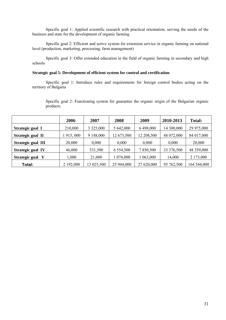Specific goal 1: Applied scientific research with practical orientation, serving the needs of the business and state for the development of organic farming

Specific goal 2: Efficient and active system for extension service in organic farming on national level (production, marketing, processing, farm management)

Specific goal 3: Offer extended education in the field of organic farming in secondary and high schools

#### **Strategic goal 5: Development of efficient system for control and certification**

Specific goal 1: Introduce rules and requirements for foreign control bodies acting on the territory of Bulgaria

Specific goal 2: Functioning system for guarantee the organic origin of the Bulgarian organic products.

|                          | 2006      | 2007          | 2008          | 2009       | 2010-2013  | <b>Total:</b> |
|--------------------------|-----------|---------------|---------------|------------|------------|---------------|
| Strategic goal I         | 210,000   | 3 3 2 5 0 0 0 | 5 642,000     | 6 498,000  | 14 300,000 | 29 975,000    |
| Strategic goal II        | 915,000   | 9 148,000     | 12 673,500    | 12 208,500 | 48 072,000 | 84 017,000    |
| Strategic goal III       | 20,000    | 0,000         | 0,000         | 0,000      | 0,000      | 20,000        |
| <b>Strategic goal IV</b> | 46,000    | 531,500       | 6 5 5 4 5 0 0 | 7 850,500  | 33 376,500 | 48 359,000    |
| Strategic goal V         | 1,000     | 21,000        | 074,000       | 1 063,000  | 14,000     | 2 173,000     |
| Total:                   | 2 192,000 | 13 025,500    | 25 944,000    | 27 620,000 | 95 762,500 | 164 544,000   |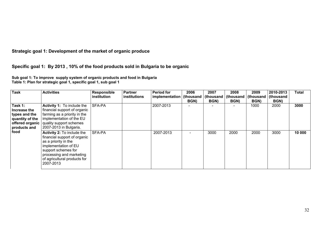**Strategic goal 1: Development of the market of organic produce** 

**Specific goal 1: By 2013 , 10% of the food products sold in Bulgaria to be organic** 

**Sub goal 1: To improve supply system of organic products and food in Bulgaria Table 1: Plan for strategic goal 1, specific goal 1, sub goal 1** 

| <b>Task</b>                                                                 | <b>Activities</b>                                                                                                                                                                                          | <b>Responsible</b><br>institution | Partner<br>institutions | <b>Period for</b><br>implementation   (thousand | 2006<br>BGN) | 2007<br>(thousand<br>BGN) | 2008<br>(thousand<br>BGN) | 2009<br>(thousand<br>BGN) | 2010-2013<br>(thousand<br>BGN) | Total  |
|-----------------------------------------------------------------------------|------------------------------------------------------------------------------------------------------------------------------------------------------------------------------------------------------------|-----------------------------------|-------------------------|-------------------------------------------------|--------------|---------------------------|---------------------------|---------------------------|--------------------------------|--------|
| Task 1:<br>Increase the<br>types and the<br>quantity of the<br>products and | Activity 1: To include the<br>financial support of organic<br>farming as a priority in the<br>implementation of the EU<br>offered organic   quality support schemes<br>2007-2013 in Bulgaria.              | <b>SFA-PA</b>                     |                         | 2007-2013                                       |              |                           |                           | 1000                      | 2000                           | 3000   |
| food                                                                        | Activity 2: To include the<br>financial support of organic<br>as a priority in the<br>implementation of EU<br>support schemes for<br>processing and marketing<br>of agricultural products for<br>2007-2013 | <b>SFA-PA</b>                     |                         | 2007-2013                                       |              | 3000                      | 2000                      | 2000                      | 3000                           | 10 000 |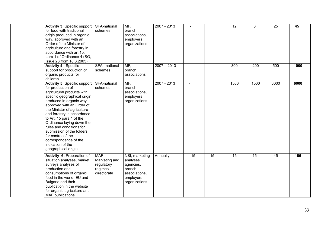| <b>Activity 3: Specific support</b><br>for food with traditional<br>origin produced in organic<br>way, approved with an<br>Order of the Minister of<br>agriculture and forestry in<br>accordance with art.15,<br>para 1 of Ordinance 4 (SG,<br>issue 23 from 18.3.2005)                                                                                                                                                                                  | SFA-national<br>schemes                                       | MF,<br>branch<br>associations,<br>employers<br>organizations                                     | 2007 - 2013   |        |                 | 12              | 8               | 25   | 45   |
|----------------------------------------------------------------------------------------------------------------------------------------------------------------------------------------------------------------------------------------------------------------------------------------------------------------------------------------------------------------------------------------------------------------------------------------------------------|---------------------------------------------------------------|--------------------------------------------------------------------------------------------------|---------------|--------|-----------------|-----------------|-----------------|------|------|
| <b>Activity 4: Specific</b><br>support for production of<br>organic products for<br>children                                                                                                                                                                                                                                                                                                                                                             | SFA- national<br>schemes                                      | MF,<br>branch<br>associations                                                                    | $2007 - 2013$ | $\sim$ |                 | 300             | 200             | 500  | 1000 |
| <b>Activity 5: Specific support</b><br>for production of<br>agricultural products with<br>specific geographical origin<br>produced in organic way<br>approved with an Order of<br>the Minister of agriculture<br>and forestry in accordance<br>to Art. 15 para 1 of the<br>Ordinance laying down the<br>rules and conditions for<br>submission of the folders<br>for control of the<br>correspondence of the<br>indication of the<br>geographical origin | SFA-national<br>schemes                                       | MF,<br>branch<br>associations,<br>employers<br>organizations                                     | $2007 - 2013$ |        |                 | 1500            | 1500            | 3000 | 6000 |
| Activity 6: Preparation of<br>situation analyses, market<br>surveys analyses of<br>production and<br>consumptions of organic<br>food in the world, EU and<br>Bulgaria and their<br>publication in the website<br>for organic agriculture and<br><b>MAF</b> publications                                                                                                                                                                                  | MAF-<br>Marketing and<br>regulatory<br>regimes<br>directorate | NSI, marketing<br>analyses<br>agencies,<br>branch<br>associations,<br>employers<br>organizations | Annually      | 15     | $\overline{15}$ | $\overline{15}$ | $\overline{15}$ | 45   | 105  |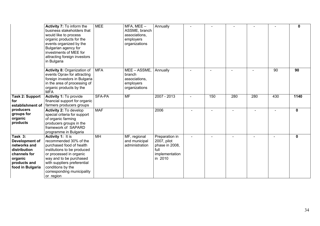|                                                                                                                          | Activity 7: To inform the<br>business stakeholders that<br>would like to process<br>organic products for the<br>events organized by the<br>Bulgarian agency for<br>investments of MEE for<br>attracting foreign investors<br>in Bulgaria                           | <b>MEE</b>      | $MFA$ , MEE $-$<br>ASSME, branch<br>associations,<br>employers<br>organizations | Annually                                                                             |     |                |     |     | 0            |
|--------------------------------------------------------------------------------------------------------------------------|--------------------------------------------------------------------------------------------------------------------------------------------------------------------------------------------------------------------------------------------------------------------|-----------------|---------------------------------------------------------------------------------|--------------------------------------------------------------------------------------|-----|----------------|-----|-----|--------------|
|                                                                                                                          | Activity 8: Organization of<br>events Opran for attracting<br>foreign investors in Bulgaria<br>in the area of processing of<br>organic products by the<br><b>MFA</b>                                                                                               | <b>MFA</b>      | MEE - ASSME,<br>branch<br>associations,<br>employers<br>organizations           | Annually                                                                             |     |                |     | 90  | 90           |
| <b>Task 2: Support</b><br>for<br>establishment of                                                                        | Activity 1: To provide<br>financial support for organic<br>farmers producers groups                                                                                                                                                                                | SFA-PA          | <b>MF</b>                                                                       | 2007 - 2013                                                                          | 150 | 280            | 280 | 430 | 1140         |
| producers<br>groups for<br>organic<br>products                                                                           | Activity 2: To develop<br>special criteria for support<br>of organic farming<br>producers groups in the<br>framework of SAPARD<br>programme in Bulgaria                                                                                                            | <b>MAF</b>      |                                                                                 | 2006                                                                                 |     |                |     |     | $\mathbf{0}$ |
| Task 3:<br>Development of<br>networks and<br>distribution<br>channels for<br>organic<br>products and<br>food in Bulgaria | <b>Activity 1: It is</b><br>recommended 30% of the<br>purchased food of health<br>institutions to be produced<br>or processed in organic<br>way and to be purchased<br>with suppliers preferential<br>conditions by the<br>corresponding municipality<br>or region | $\overline{MH}$ | MF, regional<br>and municipal<br>administration                                 | Preparation in<br>2007, pilot<br>phase in 2008,<br>full<br>implementation<br>in 2010 |     | $\blacksquare$ |     |     | $\mathbf{0}$ |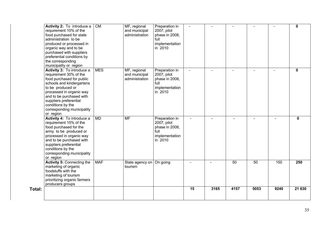|        | Activity 2: To introduce a<br>requirement 10% of the<br>food purchased for state<br>administration to be<br>produced or processed in<br>organic way and to be<br>purchased with suppliers<br>preferential conditions by<br>the corresponding<br>municipality or region                | <b>CM</b>  | MF, regional<br>and municipal<br>administration | Preparation in<br>2007, pilot<br>phase in 2008,<br>full<br>implementation<br>in 2010 | $\sim$ |        |          |        |        | $\mathbf 0$  |
|--------|---------------------------------------------------------------------------------------------------------------------------------------------------------------------------------------------------------------------------------------------------------------------------------------|------------|-------------------------------------------------|--------------------------------------------------------------------------------------|--------|--------|----------|--------|--------|--------------|
|        | Activity 3: To introduce a<br>requirement 30% of the<br>food purchased for public<br>schools and kindergartens<br>to be produced or<br>processed in organic way<br>and to be purchased with<br>suppliers preferential<br>conditions by the<br>corresponding municipality<br>or region | <b>MES</b> | MF, regional<br>and municipal<br>administration | Preparation in<br>2007, pilot<br>phase in 2008,<br>full<br>implementation<br>in 2010 |        |        |          |        |        | $\mathbf 0$  |
|        | Activity 4: To introduce a<br>requirement 15% of the<br>food purchased for the<br>army to be produced or<br>processed in organic way<br>and to be purchased with<br>suppliers preferential<br>conditions by the<br>corresponding municipality<br>or region                            | MD         | <b>MF</b>                                       | Preparation in<br>2007, pilot<br>phase in 2008,<br>full<br>implementation<br>in 2010 | $\sim$ | $\sim$ | $\equiv$ | $\sim$ | $\sim$ | $\mathbf{0}$ |
|        | <b>Activity 5: Connecting the</b><br>marketing of organic<br>foodstuffs with the<br>marketing of tourism<br>prioritizing organic farmers<br>producers groups                                                                                                                          | <b>MAF</b> | State agency on   On going<br>tourism           |                                                                                      |        |        | 50       | 50     | 150    | 250          |
| Total: |                                                                                                                                                                                                                                                                                       |            |                                                 |                                                                                      | 15     | 3165   | 4157     | 5053   | 9240   | 21 630       |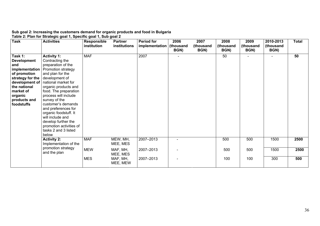#### **Sub goal 2: Increasing the customers demand for organic products and food in Bulgaria Table 2: Plan for Strategic goal 1, Specific goal 1, Sub goal 2**

| <b>Task</b>                                                                                                                                                   | <b>Activities</b>                                                                                                                                                                                                                                                                                                                                                                                                                            | <b>Responsible</b><br><i>institution</i> | <b>Partner</b><br>institutions | <b>Period for</b><br>implementation   (thousand | 2006<br>BGN) | 2007<br>(thousand<br>BGN) | 2008<br>(thousand<br>BGN) | 2009<br>(thousand<br>BGN) | 2010-2013<br>(thousand<br>BGN) | <b>Total</b> |
|---------------------------------------------------------------------------------------------------------------------------------------------------------------|----------------------------------------------------------------------------------------------------------------------------------------------------------------------------------------------------------------------------------------------------------------------------------------------------------------------------------------------------------------------------------------------------------------------------------------------|------------------------------------------|--------------------------------|-------------------------------------------------|--------------|---------------------------|---------------------------|---------------------------|--------------------------------|--------------|
| Task 1:<br><b>Development</b><br>and<br>of promotion<br>strategy for the development of<br>the national<br>market of<br>organic<br>products and<br>foodstuffs | <b>Activity 1:</b><br>Contracting the<br>preparation of the<br><b>implementation</b>   Promotion strategy<br>and plan for the<br>development of   national market for<br>organic products and<br>food. The preparation<br>process will include<br>survey of the<br>customer's demands<br>and preferences for<br>organic foodstuff. It<br>will include and<br>develop further the<br>promotion activities of<br>tasks 2 and 3 listed<br>below | <b>MAF</b>                               |                                | 2007                                            |              |                           | 50                        |                           |                                | 50           |
|                                                                                                                                                               | <b>Activity 2:</b><br>Implementation of the                                                                                                                                                                                                                                                                                                                                                                                                  | <b>MAF</b>                               | MEW, MH,<br>MEE, MES           | 2007-2013                                       |              |                           | 500                       | 500                       | 1500                           | 2500         |
|                                                                                                                                                               | promotion strategy<br>and the plan                                                                                                                                                                                                                                                                                                                                                                                                           | <b>MEW</b>                               | MAF, MH,<br>MEE, MES           | 2007-2013                                       |              |                           | 500                       | 500                       | 1500                           | 2500         |
|                                                                                                                                                               |                                                                                                                                                                                                                                                                                                                                                                                                                                              | <b>MES</b>                               | MAF, MH,<br>MEE, MEW           | 2007-2013                                       |              |                           | 100                       | 100                       | 300                            | 500          |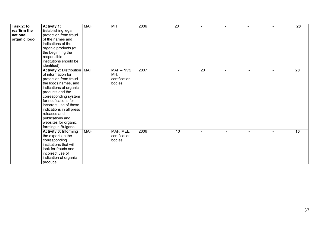| Task 2: to<br>reaffirm the<br>national<br>organic logo | <b>Activity 1:</b><br>Establishing legal<br>protection from fraud<br>of the names and<br>indications of the<br>organic products (at<br>the beginning the<br>responsible<br>institutions should be<br>identified)                                                                                                                               | <b>MAF</b> | MH                                              | 2006 | 20 |    |  | 20 |
|--------------------------------------------------------|------------------------------------------------------------------------------------------------------------------------------------------------------------------------------------------------------------------------------------------------------------------------------------------------------------------------------------------------|------------|-------------------------------------------------|------|----|----|--|----|
|                                                        | Activity 2: Distribution   MAF<br>of information for<br>protection from fraud<br>the logos, names, and<br>indications of organic<br>products and the<br>corresponding system<br>for notifications for<br>incorrect use of these<br>indications in all press<br>releases and<br>publications and<br>websites for organic<br>farming in Bulgaria |            | $MAF - NVS$ ,<br>MH,<br>certification<br>bodies | 2007 |    | 20 |  | 20 |
|                                                        | <b>Activity 3: Informing</b><br>the experts in the<br>corresponding<br>institutions that will<br>look for frauds and<br>incorrect use of<br>indication of organic<br>produce                                                                                                                                                                   | <b>MAF</b> | MAF, MEE,<br>certification<br>bodies            | 2006 | 10 |    |  | 10 |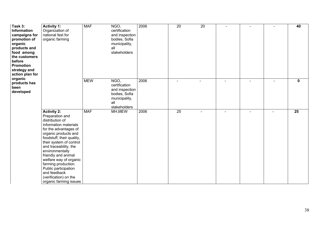| Task 3:<br><b>Information</b><br>campaigns for<br>promotion of<br>organic<br>products and<br>food among<br>the customers<br>before<br><b>Promotion</b><br>strategy and<br>action plan for | <b>Activity 1:</b><br>Organization of<br>national fest for<br>organic farming                                                                                                                                                                                                                                                                                                                             | <b>MAF</b> | NGO,<br>certification<br>and inspection<br>bodies, Sofia<br>municipality,<br>all<br>stakeholders | 2006 | 20 | 20                       | $\sim$         |                |                | 40              |
|-------------------------------------------------------------------------------------------------------------------------------------------------------------------------------------------|-----------------------------------------------------------------------------------------------------------------------------------------------------------------------------------------------------------------------------------------------------------------------------------------------------------------------------------------------------------------------------------------------------------|------------|--------------------------------------------------------------------------------------------------|------|----|--------------------------|----------------|----------------|----------------|-----------------|
| organic<br>products has<br>been<br>developed                                                                                                                                              |                                                                                                                                                                                                                                                                                                                                                                                                           | <b>MEW</b> | NGO,<br>certification<br>and inspection<br>bodies, Sofia<br>municipality,<br>all<br>stakeholders | 2006 |    |                          |                | $\sim$         | $\overline{a}$ | $\mathbf 0$     |
|                                                                                                                                                                                           | <b>Activity 2:</b><br>Preparation and<br>distribution of<br>information materials<br>for the advantages of<br>organic products and<br>foodstuff, their quality,<br>their system of control<br>and traceability, the<br>environmentally<br>friendly and animal<br>welfare way of organic<br>farming production.<br>Public participation<br>and feedback<br>(verification) on the<br>organic farming issues | <b>MAF</b> | MH, MEW                                                                                          | 2006 | 25 | $\overline{\phantom{0}}$ | $\blacksquare$ | $\blacksquare$ |                | $\overline{25}$ |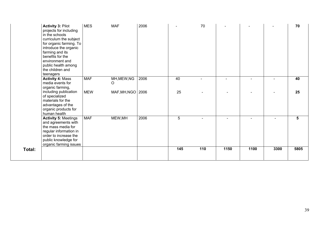|        | <b>Activity 3: Pilot</b><br>projects for including<br>in the schools<br>curriculum the subject<br>for organic farming. To<br>introduce the organic<br>farming and its<br>benefits for the<br>environment and<br>public health among<br>the children and<br>teenagers | <b>MES</b> | <b>MAF</b>          | 2006 |                | 70  |        |                          |      | 70   |
|--------|----------------------------------------------------------------------------------------------------------------------------------------------------------------------------------------------------------------------------------------------------------------------|------------|---------------------|------|----------------|-----|--------|--------------------------|------|------|
|        | <b>Activity 4: Mass</b><br>media events for<br>organic farming,                                                                                                                                                                                                      | <b>MAF</b> | MH, MEW, NG<br>O    | 2006 | 40             |     |        | $\overline{\phantom{0}}$ |      | 40   |
|        | including publication<br>of specialized<br>materials for the<br>advantages of the<br>organic products for<br>human health                                                                                                                                            | <b>MEW</b> | MAF, MH, NGO   2006 |      | 25             |     |        |                          |      | 25   |
|        | <b>Activity 5: Meetings</b><br>and agreements with<br>the mass media for<br>regular information in<br>order to increase the<br>public knowledge for<br>organic farming issues                                                                                        | <b>MAF</b> | MEW, MH             | 2006 | $\overline{5}$ |     | $\sim$ |                          |      | 5    |
| Total: |                                                                                                                                                                                                                                                                      |            |                     |      | 145            | 110 | 1150   | 1100                     | 3300 | 5805 |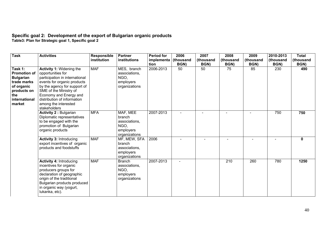# **Specific goal 2: Development of the export of Bulgarian organic products**

**Table3: Plan for Strategic goal 1, Specific goal 2** 

| <b>Task</b>                                                                                                                      | <b>Activities</b>                                                                                                                                                                                                                                                                | Responsible<br>institution | <b>Partner</b><br>institutions                                            | <b>Period for</b><br>implementa<br>tion | 2006<br>(thousand<br>BGN) | 2007<br>(thousand<br>BGN) | 2008<br>(thousand<br>BGN) | 2009<br>(thousand<br>BGN) | 2010-2013<br>(thousand<br>BGN) | <b>Total</b><br>(thousand<br>BGN) |
|----------------------------------------------------------------------------------------------------------------------------------|----------------------------------------------------------------------------------------------------------------------------------------------------------------------------------------------------------------------------------------------------------------------------------|----------------------------|---------------------------------------------------------------------------|-----------------------------------------|---------------------------|---------------------------|---------------------------|---------------------------|--------------------------------|-----------------------------------|
| Task 1:<br><b>Promotion of</b><br><b>Bulgarian</b><br>trade marks<br>of organic<br>products on<br>the<br>international<br>market | <b>Activity 1: Widening the</b><br>opportunities for<br>participation in international<br>events for organic products<br>by the agency for support of<br>SME of the Ministry of<br>Economy and Energy and<br>distribution of information<br>among the interested<br>stakeholders | <b>MAF</b>                 | MES, branch<br>associations,<br>NGO.<br>employers<br>organizations        | 2006-2013                               | 50                        | 50                        | 75                        | 85                        | 230                            | 490                               |
|                                                                                                                                  | <b>Activity 2: Bulgarian</b><br>Diplomatic representatives<br>to be engaged with the<br>promotion of Bulgarian<br>organic products                                                                                                                                               | <b>MFA</b>                 | MAF, MEE<br>branch<br>associations,<br>NGO.<br>employers<br>organizations | 2007-2013                               |                           |                           |                           |                           | 750                            | 750                               |
|                                                                                                                                  | <b>Activity 3: Introducing</b><br>export incentives of organic<br>products and foodstuffs                                                                                                                                                                                        | <b>MAF</b>                 | MF, MEW, SFA<br>branch<br>associations,<br>employers<br>organizations     | 2006                                    |                           |                           |                           |                           |                                | $\mathbf{0}$                      |
|                                                                                                                                  | <b>Activity 4: Introducing</b><br>incentives for organic<br>producers groups for<br>declaration of geographic<br>origin of the traditional<br>Bulgarian products produced<br>in organic way (yogurt,<br>lukanka, etc).                                                           | <b>MAF</b>                 | <b>Branch</b><br>associations,<br>NGO,<br>employers<br>organizations      | 2007-2013                               |                           |                           | 210                       | 260                       | 780                            | 1250                              |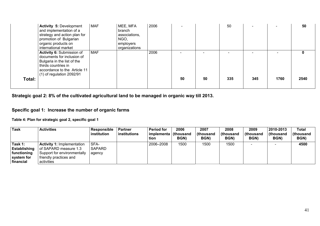|        | <b>Activity 5: Development</b><br>and implementation of a<br>strategy and action plan for<br>promotion of Bulgarian<br>organic products on<br>international market           | <b>MAF</b> | MEE, MFA<br>branch<br>associations,<br>NGO,<br>employers<br>organizations | 2006 |    |    | 50  |     |      | 50        |
|--------|------------------------------------------------------------------------------------------------------------------------------------------------------------------------------|------------|---------------------------------------------------------------------------|------|----|----|-----|-----|------|-----------|
| Total: | Activity 6: Submission of<br>documents for inclusion of<br>Bulgaria in the list of the<br>thirds countries in<br>accordance to the Article 11<br>$(1)$ of regulation 2092/91 | <b>MAF</b> |                                                                           | 2006 | 50 | 50 | 335 | 345 | 1760 | 0<br>2540 |

**Strategic goal 2: 8% of the cultivated agricultural land to be managed in organic way till 2013.** 

# **Specific goal 1: Increase the number of organic farms**

**Table 4: Plan for strategic goal 2, specific goal 1** 

| <b>Task</b>                                                              | <b>Activities</b>                                                                                                                 | Responsible<br>institution      | <b>Partner</b><br>institutions | <b>Period for</b><br>implementa   (thousand<br>tion | 2006<br><b>BGN)</b> | 2007<br>(thousand<br>BGN) | 2008<br>(thousand<br>BGN) | 2009<br>thousand)<br>BGN) | 2010-2013<br>thousand)<br>BGN) | Total<br>(thousand<br>BGN) |
|--------------------------------------------------------------------------|-----------------------------------------------------------------------------------------------------------------------------------|---------------------------------|--------------------------------|-----------------------------------------------------|---------------------|---------------------------|---------------------------|---------------------------|--------------------------------|----------------------------|
| Task 1:<br><b>Establishing</b><br>functioning<br>system for<br>financial | <b>Activity 1: Implementation</b><br>of SAPARD measure 1.3<br>Support for environmentally<br>friendly practices and<br>activities | SFA-<br><b>SAPARD</b><br>agency |                                | 2006-2008                                           | 1500                | 1500                      | 1500                      |                           |                                | 4500                       |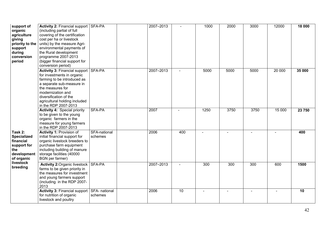| support of<br>organic<br>agriculture<br>giving<br>priority to the<br>support<br>during<br>conversion<br>period | Activity 2: Financial support SFA-PA<br>(including partial of full<br>covering of the certification<br>cost per ha or livestock<br>units) by the measure Agri-<br>environmental payments of<br>the Rural development<br>programme 2007-2013<br>(bigger financial support for<br>conversion period) |                         | 2007-2013 |                | 1000 | 2000                     | 3000 | 12000  | 18 000 |
|----------------------------------------------------------------------------------------------------------------|----------------------------------------------------------------------------------------------------------------------------------------------------------------------------------------------------------------------------------------------------------------------------------------------------|-------------------------|-----------|----------------|------|--------------------------|------|--------|--------|
|                                                                                                                | Activity 3: Financial support SFA-PA<br>for investments in organic<br>farming to be introduced as<br>a separate sub-measure in<br>the measures for<br>modernization and<br>diversification of the<br>agricultural holding included<br>in the RDP 2007-2013                                         |                         | 2007-2013 | $\overline{a}$ | 5000 | 5000                     | 5000 | 20 000 | 35 000 |
|                                                                                                                | <b>Activity 4: Special priority</b><br>to be given to the young<br>organic farmers in the<br>measure for young farmers<br>in the RDP 2007-2013                                                                                                                                                     | SFA-PA                  | 2007      |                | 1250 | 3750                     | 3750 | 15 000 | 23 750 |
| Task 2:<br><b>Specialized</b><br>financial<br>support for<br>the<br>development<br>of organic                  | Activity 1: Provision of<br>initial financial support for<br>organic livestock breeders to<br>purchase farm equipment<br>including building of manure<br>storage facilities (40000<br>BGN per farmer)                                                                                              | SFA-national<br>schemes | 2006      | 400            |      | $\overline{\phantom{a}}$ |      |        | 400    |
| livestock<br>breeding                                                                                          | <b>Activity 2: Organic livestock SFA-PA</b><br>farms to be given priority in<br>the measures for investment<br>and young farmers support<br>(including in the RDP 2007-<br>2013                                                                                                                    |                         | 2007-2013 |                | 300  | 300                      | 300  | 600    | 1500   |
|                                                                                                                | Activity 3: Financial support SFA- national<br>for nutrition of organic<br>livestock and poultry                                                                                                                                                                                                   | schemes                 | 2006      | 10             |      |                          |      |        | 10     |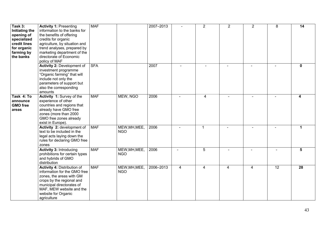| Task 3:<br><b>Initiating the</b><br>opening of<br>specialized<br>credit lines<br>for organic<br>farming by<br>the banks | <b>Activity 1: Presenting</b><br>information to the banks for<br>the benefits of offering<br>credits for organic<br>agriculture, by situation and<br>trend analyses, prepared by<br>marketing department of the<br>directorate of Economic<br>policy of MAF | <b>MAF</b> |                             | 2007-2013 |                | $\overline{2}$ | $\overline{2}$ | $\overline{2}$ | 8               | 14              |
|-------------------------------------------------------------------------------------------------------------------------|-------------------------------------------------------------------------------------------------------------------------------------------------------------------------------------------------------------------------------------------------------------|------------|-----------------------------|-----------|----------------|----------------|----------------|----------------|-----------------|-----------------|
|                                                                                                                         | <b>Activity 2: Development of</b><br>investment programme<br>"Organic farming" that will<br>include not only the<br>parameters of support but<br>also the corresponding<br>amounts                                                                          | <b>SFA</b> |                             | 2007      |                |                |                |                |                 | $\mathbf{0}$    |
| Task 4: To<br>announce<br><b>GMO</b> free<br>areas                                                                      | Activity 1: Survey of the<br>experience of other<br>countries and regions that<br>already have GMO free<br>zones (more than 2000<br>GMO free zones already<br>exist in Europe).                                                                             | <b>MAF</b> | MEW, NGO                    | 2006      |                | $\overline{4}$ |                |                |                 | 4               |
|                                                                                                                         | Activity 2: development of<br>text to be included in the<br>legal acts laying down the<br>rules for declaring GMO free<br>zones                                                                                                                             | <b>MAF</b> | MEW, MH, MEE,<br><b>NGO</b> | 2006      |                | $\mathbf 1$    |                |                |                 |                 |
|                                                                                                                         | <b>Activity 3: Introducing</b><br>prohibitions for certain types<br>and hybrids of GMO<br>distribution                                                                                                                                                      | <b>MAF</b> | MEW, MH, MEE,<br><b>NGO</b> | 2006      | $\sim$         | 5              |                |                |                 | 5               |
|                                                                                                                         | <b>Activity 4: Distribution of</b><br>information for the GMO free<br>zones, the areas with GM<br>crops by the regional and<br>municipal directorates of<br>MAF, MEW website and the<br>website for Organic<br>agriculture                                  | <b>MAF</b> | MEW, MH, MEE,<br><b>NGO</b> | 2006-2013 | $\overline{4}$ | $\overline{4}$ | $\overline{4}$ | $\overline{4}$ | $\overline{12}$ | $\overline{28}$ |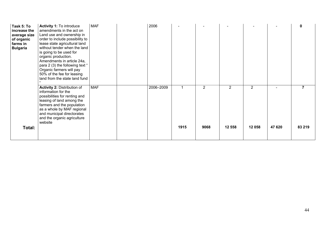| Task 5: To<br>increase the<br>average size<br>of organic<br>farms in<br><b>Bulgaria</b> | Activity 1: To introduce<br>amendments in the act on<br>Land use and ownership in<br>order to include possibility to<br>lease state agricultural land<br>without tender when the land<br>is going to be used for<br>organic production.<br>Amendments in article 24a,<br>para 2 (3) the following text "<br>Organic farmers will pay<br>50% of the fee for leasing<br>land from the state land fund | <b>MAF</b> | 2006      |      |                        |                          |                          |        | 0           |
|-----------------------------------------------------------------------------------------|-----------------------------------------------------------------------------------------------------------------------------------------------------------------------------------------------------------------------------------------------------------------------------------------------------------------------------------------------------------------------------------------------------|------------|-----------|------|------------------------|--------------------------|--------------------------|--------|-------------|
| Total:                                                                                  | <b>Activity 2: Distribution of</b><br>information for the<br>possibilities for renting and<br>leasing of land among the<br>farmers and the population<br>as a whole by MAF regional<br>and municipal directorates<br>and the organic agriculture<br>website                                                                                                                                         | <b>MAF</b> | 2006-2009 | 1915 | $\overline{2}$<br>9068 | $\overline{2}$<br>12 558 | $\overline{2}$<br>12 058 | 47 620 | 7<br>83 219 |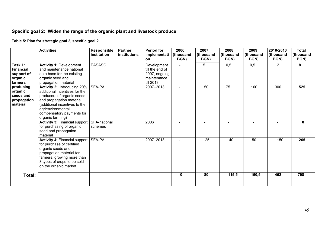# **Specific goal 2: Widen the range of the organic plant and livestock produce**

**Table 5: Plan for strategic goal 2, specific goal 2** 

|                                                                 | <b>Activities</b>                                                                                                                                                                                                                    | Responsible<br>institution | <b>Partner</b><br>institutions | <b>Period for</b><br>implementati<br>on                                     | 2006<br>thousand<br>BGN) | 2007<br>(thousand<br>BGN) | 2008<br>(thousand<br>BGN) | 2009<br>(thousand<br>BGN) | 2010-2013<br>(thousand<br>BGN) | <b>Total</b><br>(thousand<br>BGN) |
|-----------------------------------------------------------------|--------------------------------------------------------------------------------------------------------------------------------------------------------------------------------------------------------------------------------------|----------------------------|--------------------------------|-----------------------------------------------------------------------------|--------------------------|---------------------------|---------------------------|---------------------------|--------------------------------|-----------------------------------|
| Task 1:<br><b>Financial</b><br>support of<br>organic<br>farmers | <b>Activity 1: Development</b><br>and maintenance national<br>data base for the existing<br>organic seed and<br>propagation material                                                                                                 | <b>EASASC</b>              |                                | Development<br>till the end of<br>2007, ongoing<br>maintenance<br>till 2013 |                          | 5                         | 0,5                       | 0,5                       | 2                              | 8                                 |
| producing<br>organic<br>seeds and<br>propagation<br>material    | <b>Activity 2: Introducing 20%</b><br>additional incentives for the<br>producers of organic seeds<br>and propagation material<br>(additional incentives to the<br>agrienvironmental<br>compensatory payments for<br>organic farming) | SFA-PA                     |                                | 2007-2013                                                                   | $\blacksquare$           | 50                        | $\overline{75}$           | 100                       | 300                            | 525                               |
|                                                                 | <b>Activity 3: Financial support</b><br>for purchasing of organic<br>seed and propagation<br>material                                                                                                                                | SFA-national<br>schemes    |                                | 2006                                                                        |                          |                           |                           |                           |                                | $\mathbf{0}$                      |
|                                                                 | <b>Activity 4: Financial support</b><br>for purchase of certified<br>organic seeds and<br>propagation material for<br>farmers, growing more than<br>3 types of crops to be sold<br>on the organic market.                            | SFA-PA                     |                                | 2007-2013                                                                   | $\sim$                   | $\overline{25}$           | 40                        | 50                        | 150                            | 265                               |
| Total:                                                          |                                                                                                                                                                                                                                      |                            |                                |                                                                             | 0                        | 80                        | 115,5                     | 150,5                     | 452                            | 798                               |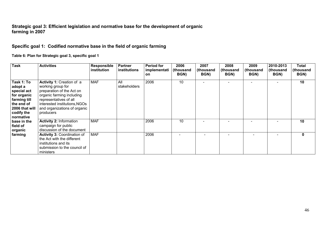# **Strategic goal 3: Efficient legislation and normative base for the development of organic farming in 2007**

# **Specific goal 1: Codified normative base in the field of organic farming**

**Table 6: Plan for Strategic goal 3, specific goal 1** 

| <b>Task</b>                                                                                                                    | <b>Activities</b>                                                                                                                                                                                                | Responsible<br><i>institution</i> | <b>Partner</b><br>institutions | <b>Period for</b><br>implementati<br><b>on</b> | 2006<br>(thousand<br>BGN) | 2007<br>(thousand<br>BGN) | 2008<br>(thousand<br>BGN) | 2009<br>(thousand<br>BGN) | 2010-2013<br>(thousand<br>BGN) | Total<br>(thousand<br>BGN) |
|--------------------------------------------------------------------------------------------------------------------------------|------------------------------------------------------------------------------------------------------------------------------------------------------------------------------------------------------------------|-----------------------------------|--------------------------------|------------------------------------------------|---------------------------|---------------------------|---------------------------|---------------------------|--------------------------------|----------------------------|
| Task 1: To<br>adopt a<br>special act<br>for organic<br>farming till<br>the end of<br>2006 that will<br>codify the<br>normative | Activity 1: Creation of a<br>working group for<br>preparation of the Act on<br>organic farming including<br>representatives of all<br>interested institutions, NGOs<br>and organizations of organic<br>producers | <b>MAF</b>                        | All<br>stakeholders            | 2006                                           | 10                        |                           |                           |                           |                                | 10                         |
| ∣ base in the<br>field of<br>organic                                                                                           | <b>Activity 2: Information</b><br>campaign for public<br>discussion of the document                                                                                                                              | <b>MAF</b>                        |                                | 2006                                           | 10                        |                           |                           |                           |                                | 10                         |
| farming                                                                                                                        | <b>Activity 3: Coordination of</b><br>the Act with the different<br>institutions and its<br>submission to the council of<br>ministers                                                                            | <b>MAF</b>                        |                                | 2006                                           |                           |                           |                           |                           |                                | $\mathbf{0}$               |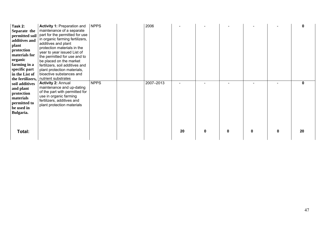| Task 2:<br>Separate the<br>permitted soil<br>additives and<br>plant<br>protection<br>materials for<br>organic<br>farming in a<br>specific part<br>in the List of<br>the fertilizers, | <b>Activity 1: Preparation and</b><br>maintenance of a separate<br>part for the permitted for use<br>in organic farming fertilizers,<br>additives and plant<br>protection materials in the<br>year to year issued List of<br>the permitted for use and to<br>be placed on the market<br>fertilizers, soil additives and<br>plant protection materials,<br>bioactive substances and<br>nutrient substrates | <b>NPPS</b> | 2006      |    |   |   |              |   | $\mathbf 0$        |
|--------------------------------------------------------------------------------------------------------------------------------------------------------------------------------------|-----------------------------------------------------------------------------------------------------------------------------------------------------------------------------------------------------------------------------------------------------------------------------------------------------------------------------------------------------------------------------------------------------------|-------------|-----------|----|---|---|--------------|---|--------------------|
| soil additives<br>and plant<br>protection<br>materials<br>permitted to<br>be used in<br>Bulgaria.<br>Total:                                                                          | <b>Activity 2: Annual</b><br>maintenance and up-dating<br>of the part with permitted for<br>use in organic farming<br>fertilizers, additives and<br>plant protection materials                                                                                                                                                                                                                            | <b>NPPS</b> | 2007-2013 | 20 | 0 | 0 | $\mathbf{0}$ | 0 | $\mathbf{0}$<br>20 |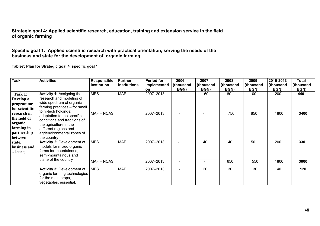# **Strategic goal 4: Applied scientific research, education, training and extension service in the field of organic farming**

# **Specific goal 1: Applied scientific research with practical orientation, serving the needs of the business and state for the development of organic farming**

**Table7: Plan for Strategic goal 4, specific goal 1**

| <b>Task</b>                                                                                                                                                                                              | <b>Activities</b>                                                                                                                                          | <b>Responsible</b><br>institution | <b>Partner</b><br>institutions | <b>Period for</b><br>implementati | 2006<br>(thousand | 2007<br>(thousand | 2008<br>(thousand | 2009<br>(thousand | 2010-2013<br>(thousand | Total<br>(thousand |
|----------------------------------------------------------------------------------------------------------------------------------------------------------------------------------------------------------|------------------------------------------------------------------------------------------------------------------------------------------------------------|-----------------------------------|--------------------------------|-----------------------------------|-------------------|-------------------|-------------------|-------------------|------------------------|--------------------|
|                                                                                                                                                                                                          |                                                                                                                                                            |                                   |                                | <b>on</b>                         | BGN)              | BGN)              | BGN)              | BGN)              | BGN)                   | BGN)               |
| <b>Activity 1: Assigning the</b><br>Task 1:<br>research and modeling of<br>Develop a<br>wide spectrum of organic<br>programme<br>farming practices - for small<br>for scientific<br>to hi-tech holdings; | <b>MES</b>                                                                                                                                                 | <b>MAF</b>                        | 2007-2013                      |                                   | 60                | 80                | 100               | 200               | 440                    |                    |
| research in<br>the field of<br>organic<br>farming in<br>partnership<br>between                                                                                                                           | adaptation to the specific<br>conditions and traditions of<br>the agriculture in the<br>different regions and<br>agrienvironmental zones of<br>the country | MAF-NCAS                          |                                | 2007-2013                         |                   |                   | 750               | 850               | 1800                   | 3400               |
| state,<br>business and<br>science;                                                                                                                                                                       | <b>Activity 2: Development of</b><br>models for mixed organic<br>farms for mountainous,<br>semi-mountainous and                                            | <b>MES</b>                        | <b>MAF</b>                     | 2007-2013                         |                   | 40                | 40                | 50                | 200                    | 330                |
|                                                                                                                                                                                                          | plane of the country                                                                                                                                       | MAF-NCAS                          |                                | 2007-2013                         |                   |                   | 650               | 550               | 1800                   | 3000               |
|                                                                                                                                                                                                          | <b>Activity 3: Development of</b><br>organic farming technologies<br>for the main crops,<br>vegetables, essential,                                         | <b>MES</b>                        | <b>MAF</b>                     | 2007-2013                         |                   | 20                | 30                | 30                | 40                     | 120                |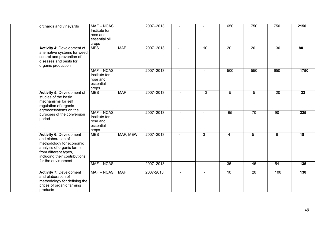| orchards and vineyards                                                                                                                                                                         | MAF-NCAS<br>Institute for<br>rose and<br>essential oil<br>crops |            | 2007-2013 |                          |                | 650             | 750             | 750 | 2150            |
|------------------------------------------------------------------------------------------------------------------------------------------------------------------------------------------------|-----------------------------------------------------------------|------------|-----------|--------------------------|----------------|-----------------|-----------------|-----|-----------------|
| Activity 4: Development of<br>alternative systems for weed<br>control and prevention of<br>diseases and pests for<br>organic production                                                        | <b>MES</b>                                                      | <b>MAF</b> | 2007-2013 | $\overline{a}$           | 10             | $\overline{20}$ | $\overline{20}$ | 30  | $\overline{80}$ |
|                                                                                                                                                                                                | MAF-NCAS<br>Institute for<br>rose and<br>essential<br>crops     |            | 2007-2013 | $\blacksquare$           |                | 500             | 550             | 650 | 1750            |
| <b>Activity 5: Development of</b><br>studies of the basic<br>mechanisms for self<br>regulation of organic                                                                                      | <b>MES</b>                                                      | <b>MAF</b> | 2007-2013 |                          | 3              | 5               | $5\phantom{.0}$ | 20  | 33              |
| agroecosystems on the<br>purposes of the conversion<br>period                                                                                                                                  | $MAF - NCAS$<br>Institute for<br>rose and<br>essential<br>crops |            | 2007-2013 |                          | $\blacksquare$ | 65              | 70              | 90  | 225             |
| <b>Activity 6: Development</b><br>and elaboration of<br>methodology for economic<br>analysis of organic farms<br>from different types,<br>including their contributions<br>for the environment | <b>MES</b>                                                      | MAF, MEW   | 2007-2013 | $\overline{\phantom{a}}$ | 3              | 4               | 5               | 6   | 18              |
|                                                                                                                                                                                                | $MAF - NCAS$                                                    |            | 2007-2013 | $\blacksquare$           | $\blacksquare$ | 36              | 45              | 54  | 135             |
| <b>Activity 7: Development</b><br>and elaboration of<br>methodology for defining the<br>prices of organic farming<br>products                                                                  | $MAF - NCAS$                                                    | <b>MAF</b> | 2007-2013 |                          |                | 10              | 20              | 100 | 130             |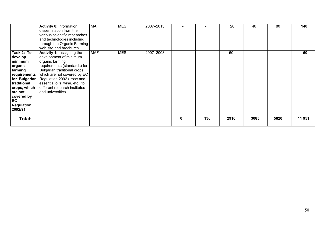|                                                                                                                                               | <b>Activity 8: information</b><br>dissemination from the<br>various scientific researches<br>and technologies including<br>through the Organic Farming<br>web site and brochures                                                                                                                                                | <b>MAF</b> | <b>MES</b> | 2007-2013 |             |     | 20   | 40   | 80   | 140   |
|-----------------------------------------------------------------------------------------------------------------------------------------------|---------------------------------------------------------------------------------------------------------------------------------------------------------------------------------------------------------------------------------------------------------------------------------------------------------------------------------|------------|------------|-----------|-------------|-----|------|------|------|-------|
| Task 2: To<br>develop<br>minimum<br>organic<br>farming<br>traditional<br>crops, which<br>are not<br>covered by<br>EC<br>Regulation<br>2092/91 | <b>Activity 1: assigning the</b><br>development of minimum<br>organic farming<br>requirements (standards) for<br>Bulgarian traditional crops,<br>requirements   which are not covered by EC<br>for Bulgarian   Regulation 2092 (rose and<br>essential oils, wine, etc. to<br>different research institutes<br>and universities. | <b>MAF</b> | <b>MES</b> | 2007-2008 |             |     | 50   |      |      | 50    |
| Total:                                                                                                                                        |                                                                                                                                                                                                                                                                                                                                 |            |            |           | $\mathbf 0$ | 136 | 2910 | 3085 | 5820 | 11951 |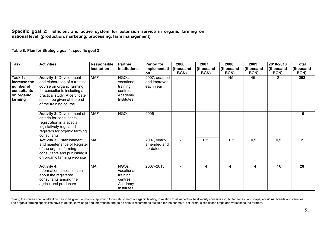#### **Specific goal 2: Efficient and active system for extension service in organic farming on national level (production, marketing, processing, farm management)**

**Table 8: Plan for Strategic goal 4, specific goal 2** 

| <b>Task</b>                                                                  | <b>Activities</b>                                                                                                                                                                                                       | Responsible<br>institution | <b>Partner</b><br><i>institutions</i>                                | <b>Period for</b><br>implementati<br>on    | 2006<br>(thousand<br>BGN) | 2007<br>(thousand<br>BGN) | 2008<br>(thousand<br>BGN) | 2009<br>(thousand<br>BGN) | 2010-2013<br>(thousand<br>BGN) | <b>Total</b><br>(thousand<br>BGN) |
|------------------------------------------------------------------------------|-------------------------------------------------------------------------------------------------------------------------------------------------------------------------------------------------------------------------|----------------------------|----------------------------------------------------------------------|--------------------------------------------|---------------------------|---------------------------|---------------------------|---------------------------|--------------------------------|-----------------------------------|
| Task 1:<br>Increase the<br>number of<br>consultants<br>on organic<br>farming | <b>Activity 1: Development</b><br>and elaboration of a training<br>course on organic farming<br>for consultants including a<br>practical study. A certificate *<br>should be given at the end<br>of the training course | <b>MAF</b>                 | NGOs,<br>vocational<br>training<br>centres,<br>Academy<br>Institutes | 2007, adapted<br>and improved<br>each year |                           |                           | 145                       | 45                        | $12 \overline{ }$              | 202                               |
|                                                                              | <b>Activity 2: Development of</b><br>criteria for consultants'<br>registration in a special<br>legislatively regulated<br>registers for organic farming<br>consultants                                                  | <b>MAF</b>                 | <b>NGO</b>                                                           | 2006                                       | $\blacksquare$            |                           |                           |                           |                                | $\mathbf 0$                       |
|                                                                              | <b>Activity 3: Establishment</b><br>and maintenance of Register<br>of the organic farming<br>consultants and publishing it<br>on organic farming web site                                                               | <b>MAF</b>                 |                                                                      | 2007, yearly<br>amended and<br>up-dated    |                           | 0,5                       | 0,5                       | 0,5                       | 0,5                            | $\mathbf{2}$                      |
|                                                                              | <b>Activity 4:</b><br>Information dissemination<br>about the registered<br>consultants among the<br>agricultural producers                                                                                              | <b>MAF</b>                 | NGOs,<br>vocational<br>training<br>centres,<br>Academy<br>Institutes | 2007-2013                                  |                           | 4                         | 4                         | 4                         | 16                             | 28                                |

<sup>∗</sup>during the course special attention has to be given on holistic approach for establishment of organic holding in relation to all aspects – biodiversity conservation, buffer zones, landscape, aboriginal breeds and varieties. The organic farming specialists have to obtain knowledge and information and to be able to recommend suitable for the concrete soil-climatic conditions crops and varieties to the farmers.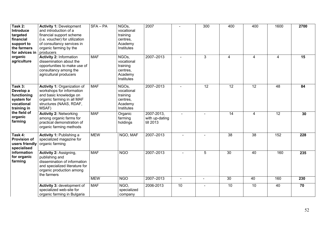| Task 2:<br>Introduce<br>targeted<br>financial<br>support to<br>the farmers<br>for advices in<br>organic<br>agriculture | <b>Activity 1: Development</b><br>and introduction of a<br>financial support scheme<br>(i.e. voucher) for utilization<br>of consultancy services in<br>organic farming by the<br>producers | SFA-PA     | NGO <sub>s</sub><br>vocational<br>training<br>centres,<br>Academy<br>Institutes | 2007                                      |                | 300             | 400             | 400             | 1600            | 2700 |
|------------------------------------------------------------------------------------------------------------------------|--------------------------------------------------------------------------------------------------------------------------------------------------------------------------------------------|------------|---------------------------------------------------------------------------------|-------------------------------------------|----------------|-----------------|-----------------|-----------------|-----------------|------|
|                                                                                                                        | <b>Activity 2: Information</b><br>dissemination about the<br>opportunities to make use of<br>consultancy among the<br>agricultural producers                                               | <b>MAF</b> | NGOs,<br>vocational<br>training<br>centres.<br>Academy<br>Institutes            | 2007-2013                                 | $\sim$         | 3               | $\overline{4}$  | $\overline{4}$  | 4               | 15   |
| Task 3:<br>Develop a<br>functioning<br>system for<br>vocational<br>training in                                         | Activity 1: Organization of<br>workshops for information<br>and basic knowledge on<br>organic farming in all MAF<br>structures (NAAS, RDAF,<br>MSAF)                                       | <b>MAF</b> | NGO <sub>s</sub><br>vocational<br>training<br>centres,<br>Academy<br>Institutes | 2007-2013                                 |                | $\overline{12}$ | $\overline{12}$ | $\overline{12}$ | $\overline{48}$ | 84   |
| the field of<br>organic<br>farming                                                                                     | <b>Activity 2: Networking</b><br>among organic farms for<br>practical demonstration of<br>organic farming methods                                                                          | <b>MAF</b> | Organic<br>farming<br>holdings                                                  | 2007-2013,<br>with up-dating<br>till 2013 |                |                 | 14              | 4               | $\overline{12}$ | 30   |
| Task 4:<br><b>Provision of</b><br>users friendly<br>specialised                                                        | Activity 1: Publishing a<br>specialized magazine for<br>organic farming                                                                                                                    | <b>MEW</b> | NGO, MAF                                                                        | 2007-2013                                 |                |                 | $\overline{38}$ | $\overline{38}$ | 152             | 228  |
| information<br>for organic<br>farming                                                                                  | Activity 2: Assigning,<br>publishing and<br>dissemination of information<br>and specialized literature for<br>organic production among<br>the farmers                                      | <b>MAF</b> | <b>NGO</b>                                                                      | 2007-2013                                 | $\blacksquare$ | 5               | $\overline{30}$ | $\overline{40}$ | 160             | 235  |
|                                                                                                                        |                                                                                                                                                                                            | <b>MEW</b> | <b>NGO</b>                                                                      | 2007-2013                                 |                | $\sim$          | $\overline{30}$ | 40              | 160             | 230  |
|                                                                                                                        | Activity 3: development of<br>specialized web-site for<br>organic farming in Bulgaria                                                                                                      | <b>MAF</b> | NGO.<br>specialized<br>company                                                  | 2006-2013                                 | 10             |                 | 10              | 10              | 40              | 70   |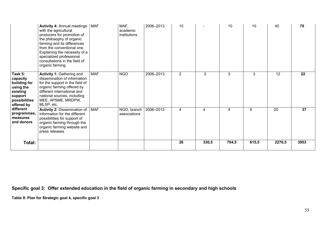|                                                                                                        | <b>Activity 4: Annual meetings</b><br>with the agricultural<br>producers for promotion of<br>the philosophy of organic<br>farming and its differences<br>from the conventional one.<br>Explaining the necessity of a<br>specialized professional<br>consultations in the field of<br>organic farming | <b>MAF</b> | MAF,<br>academic<br>institutions | 2006-2013 | 10             |                | 10    | 10    | 40              | 70   |
|--------------------------------------------------------------------------------------------------------|------------------------------------------------------------------------------------------------------------------------------------------------------------------------------------------------------------------------------------------------------------------------------------------------------|------------|----------------------------------|-----------|----------------|----------------|-------|-------|-----------------|------|
| Task 5:<br>capacity<br>building for<br>using the<br>existing<br>support<br>possibilities<br>offered by | <b>Activity 1: Gathering and</b><br>dissemination of information<br>for the support in the field of<br>organic farming offered by<br>different international and<br>national sources, including<br>MEE, APSME, MRDPW,<br>MLSP, etc.                                                                  | <b>MAF</b> | <b>NGO</b>                       | 2006-2013 | $\overline{2}$ | $\overline{2}$ | 3     | 3     | 12              | 22   |
| different<br>programmes,<br>measures<br>and donors                                                     | <b>Activity 2: Dissemination of</b><br>information for the different<br>possibilities for support of<br>organic farming through the<br>organic farming website and<br>press releases                                                                                                                 | <b>MAF</b> | NGO, branch<br>associations      | 2006-2013 | 4              | 4              | 4     | 5     | $\overline{20}$ | 37   |
| Total:                                                                                                 |                                                                                                                                                                                                                                                                                                      |            |                                  |           | 26             | 330,5          | 704,5 | 615,5 | 2276,5          | 3953 |

**Specific goal 3: Offer extended education in the field of organic farming in secondary and high schools**

**Table 9: Plan for Strategic goal 4, specific goal 3**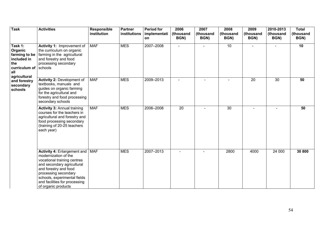| <b>Task</b>                                                                               | <b>Activities</b>                                                                                                                                                                                                                                                | Responsible<br>institution | <b>Partner</b><br>institutions | <b>Period for</b><br>implementati<br>on | 2006<br>(thousand<br>BGN) | 2007<br>(thousand<br>BGN) | 2008<br>(thousand<br>BGN) | 2009<br>(thousand<br>BGN) | 2010-2013<br>(thousand<br>BGN) | <b>Total</b><br>(thousand<br>BGN) |
|-------------------------------------------------------------------------------------------|------------------------------------------------------------------------------------------------------------------------------------------------------------------------------------------------------------------------------------------------------------------|----------------------------|--------------------------------|-----------------------------------------|---------------------------|---------------------------|---------------------------|---------------------------|--------------------------------|-----------------------------------|
| Task 1:<br>Organic<br>farming to be<br>included in<br>the<br>curriculum of schools<br>all | Activity 1: Improvement of<br>the curriculum on organic<br>farming in the agricultural<br>and forestry and food<br>processing secondary                                                                                                                          | <b>MAF</b>                 | <b>MES</b>                     | 2007-2008                               |                           |                           | 10                        |                           |                                | 10                                |
| agricultural<br>and forestry<br>secondary<br>schools                                      | <b>Activity 2: Development of</b><br>textbooks, manuals and<br>guides on organic farming<br>for the agricultural and<br>forestry and food processing<br>secondary schools                                                                                        | <b>MAF</b>                 | <b>MES</b>                     | 2009-2013                               | $\sim$                    | $\sim$                    |                           | 20                        | 30                             | 50                                |
|                                                                                           | <b>Activity 3: Annual training</b><br>courses for the teachers in<br>agricultural and forestry and<br>food processing secondary<br>(training of 20-25 teachers<br>each year)                                                                                     | <b>MAF</b>                 | <b>MES</b>                     | 2006-2008                               | $\overline{20}$           | $\equiv$                  | 30                        | $\sim$                    | $\blacksquare$                 | 50                                |
|                                                                                           | <b>Activity 4: Enlargement and</b><br>modernization of the<br>vocational training centres<br>and secondary agricultural<br>and forestry and food<br>processing secondary<br>schools, experimental fields<br>and facilities for processing<br>of organic products | <b>MAF</b>                 | <b>MES</b>                     | 2007-2013                               |                           |                           | 2800                      | 4000                      | 24 000                         | 30 800                            |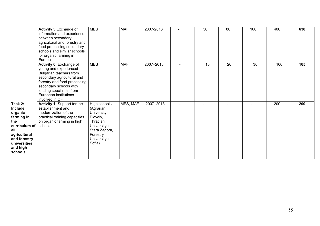|                                                                                                                                                    | Activity 5 Exchange of<br>information and experience<br>between secondary<br>agricultural and forestry and<br>food processing secondary<br>schools and similar schools<br>for organic farming in<br>Europe                                 | <b>MES</b>                                                                                                                               | <b>MAF</b> | 2007-2013 | 50 | 80 | 100 | 400 | 630 |
|----------------------------------------------------------------------------------------------------------------------------------------------------|--------------------------------------------------------------------------------------------------------------------------------------------------------------------------------------------------------------------------------------------|------------------------------------------------------------------------------------------------------------------------------------------|------------|-----------|----|----|-----|-----|-----|
|                                                                                                                                                    | Activity 6: Exchange of<br>young and experienced<br>Bulgarian teachers from<br>secondary agricultural and<br>forestry and food processing<br>secondary schools with<br>leading specialists from<br>European institutions<br>involved in OF | <b>MES</b>                                                                                                                               | <b>MAF</b> | 2007-2013 | 15 | 20 | 30  | 100 | 165 |
| Task 2:<br>Include<br>organic<br>farming in<br>the<br>curriculum of<br>all<br>agricultural<br>and forestry<br>universities<br>and high<br>schools. | Activity 1: Support for the<br>establishment and<br>modernization of the<br>practical training capacities<br>on organic farming in high<br>schools                                                                                         | High schools<br>(Agrarian<br>University<br>Plovdiv,<br>Thracian<br>University in<br>Stara Zagora,<br>Forestry<br>University in<br>Sofia) | MES, MAF   | 2007-2013 |    |    |     | 200 | 200 |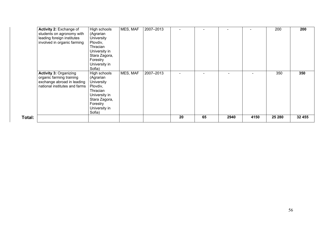| Activity 2: Exchange of       | High schools      | MES, MAF | 2007-2013 |    |    |      |      | 200    | 200    |
|-------------------------------|-------------------|----------|-----------|----|----|------|------|--------|--------|
| students on agronomy with     | (Agrarian         |          |           |    |    |      |      |        |        |
| leading foreign institutes    | University        |          |           |    |    |      |      |        |        |
| involved in organic farming   | Plovdiv,          |          |           |    |    |      |      |        |        |
|                               | Thracian          |          |           |    |    |      |      |        |        |
|                               | University in     |          |           |    |    |      |      |        |        |
|                               | Stara Zagora,     |          |           |    |    |      |      |        |        |
|                               | Forestry          |          |           |    |    |      |      |        |        |
|                               | University in     |          |           |    |    |      |      |        |        |
|                               | Sofia)            |          |           |    |    |      |      |        |        |
| <b>Activity 3: Organizing</b> | High schools      | MES, MAF | 2007-2013 |    |    |      |      | 350    | 350    |
| organic farming training      | (Agrarian         |          |           |    |    |      |      |        |        |
| exchange abroad in leading    | <b>University</b> |          |           |    |    |      |      |        |        |
| national institutes and farms | Plovdiv,          |          |           |    |    |      |      |        |        |
|                               | Thracian          |          |           |    |    |      |      |        |        |
|                               | University in     |          |           |    |    |      |      |        |        |
|                               | Stara Zagora,     |          |           |    |    |      |      |        |        |
|                               | Forestry          |          |           |    |    |      |      |        |        |
|                               | University in     |          |           |    |    |      |      |        |        |
|                               | Sofia)            |          |           |    |    |      |      |        |        |
| Total:                        |                   |          |           | 20 | 65 | 2940 | 4150 | 25 280 | 32 455 |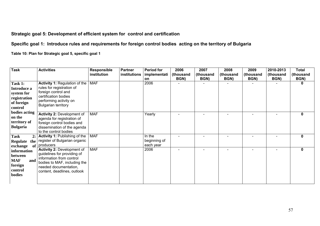# **Strategic goal 5: Development of efficient system for control and certification**

# **Specific goal 1: Introduce rules and requirements for foreign control bodies acting on the territory of Bulgaria**

**Table 10: Plan for Strategic goal 5, specific goal 1** 

| <b>Task</b>                                                                   | <b>Activities</b>                                                                                                                                                                    | Responsible<br>institution | <b>Partner</b><br>institutions | <b>Period for</b><br>implementati<br><b>on</b> | 2006<br>(thousand<br>BGN) | 2007<br>(thousand<br>BGN) | 2008<br>(thousand<br>BGN) | 2009<br>(thousand<br>BGN) | 2010-2013<br>thousand<br>BGN) | <b>Total</b><br>(thousand<br>BGN) |
|-------------------------------------------------------------------------------|--------------------------------------------------------------------------------------------------------------------------------------------------------------------------------------|----------------------------|--------------------------------|------------------------------------------------|---------------------------|---------------------------|---------------------------|---------------------------|-------------------------------|-----------------------------------|
| Task 1:<br>Introduce a<br>system for<br>registration<br>of foreign<br>control | <b>Activity 1: Regulation of the</b><br>rules for registration of<br>foreign control and<br>certification bodies<br>performing activity on<br><b>Bulgarian territory</b>             | <b>MAF</b>                 |                                | 2006                                           |                           |                           |                           |                           |                               | $\bf{0}$                          |
| bodies acting<br>on the<br>territory of<br>Bulgaria                           | <b>Activity 2: Development of</b><br>agenda for registration of<br>foreign control bodies and<br>dissemination of the agenda<br>to the control bodies                                | <b>MAF</b>                 |                                | Yearly                                         |                           |                           | $\blacksquare$            |                           |                               | $\Omega$                          |
| <b>Task</b><br>2:<br>Regulate<br>the<br>of<br>exchange                        | <b>Activity 1: Publishing of the</b><br>register of Bulgarian organic<br>producers                                                                                                   | <b>MAF</b>                 |                                | In the<br>beginning of<br>each year            |                           |                           |                           |                           |                               | $\bf{0}$                          |
| information<br>between<br><b>MAF</b><br>and<br>foreign<br>control<br>bodies   | <b>Activity 2: Development of</b><br>guidelines for providing of<br>information from control<br>bodies to MAF, including the<br>needed documentation,<br>content, deadlines, outlook | <b>MAF</b>                 |                                | 2006                                           |                           |                           |                           |                           |                               | $\mathbf{0}$                      |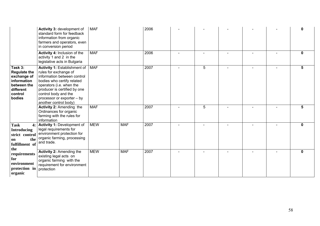|                                                                                                               | Activity 3: development of<br>standard form for feedback<br>information from organic<br>farmers and operators, even<br>in conversion period                                                                                                                   | <b>MAF</b> |            | 2006 |   |  |              |
|---------------------------------------------------------------------------------------------------------------|---------------------------------------------------------------------------------------------------------------------------------------------------------------------------------------------------------------------------------------------------------------|------------|------------|------|---|--|--------------|
|                                                                                                               | Activity 4: Inclusion of the<br>activity 1 and 2 in the<br>legislative acts in Bulgaria                                                                                                                                                                       | <b>MAF</b> |            | 2006 |   |  | 0            |
| Task 3:<br><b>Regulate the</b><br>exchange of<br>information<br>between the<br>different<br>control<br>bodies | Activity 1: Establishment of<br>rules for exchange of<br>information between control<br>bodies who certify related<br>operators (i.e. when the<br>producer is certified by one<br>control body and the<br>processor or exporter - by<br>another control body) | <b>MAF</b> |            | 2007 | 5 |  | 5            |
|                                                                                                               | Activity 2: Amending the<br>Ordinances for organic<br>farming with the rules for<br>information                                                                                                                                                               | <b>MAF</b> |            | 2007 | 5 |  | 5.           |
| <b>Task</b><br>4:<br><b>Introducing</b><br>strict control<br>the<br>on<br>fulfillment of<br>the               | <b>Activity 1: Development of</b><br>legal requirements for<br>environment protection for<br>organic farming, processing<br>and trade.                                                                                                                        | <b>MEW</b> | <b>MAF</b> | 2007 |   |  | $\mathbf{0}$ |
| requirements<br>for<br>environment<br>protection in<br>organic                                                | <b>Activity 2: Amending the</b><br>existing legal acts on<br>organic farming with the<br>requirement for environment<br>protection                                                                                                                            | <b>MEW</b> | <b>MAF</b> | 2007 |   |  | $\mathbf{0}$ |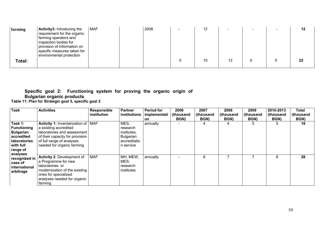| farming | Activity3: Introducing the<br>requirement for the organic<br>farming operators and<br>inspection bodies for<br>provision of information on<br>specific measures taken for | <b>MAF</b> | 2008 | 12 |    |  | 12      |
|---------|---------------------------------------------------------------------------------------------------------------------------------------------------------------------------|------------|------|----|----|--|---------|
| Total:  | environmental protection                                                                                                                                                  |            |      | 10 | 12 |  | $22 \,$ |

# **Specific goal 2: Functioning system for proving the organic origin of**

# **Bulgarian organic products**

**Table 11: Plan for Strategic goal 5, specific goal 2** 

| <b>Task</b>                                                                                                          | <b>Activities</b>                                                                                                                                                                          | Responsible<br>institution | Partner<br>institutions                                                   | <b>Period for</b><br>implementati<br>on. | 2006<br>(thousand<br>BGN) | 2007<br>(thousand<br>BGN) | 2008<br>(thousand<br>BGN) | 2009<br>(thousand<br>BGN) | 2010-2013<br>(thousand<br>BGN) | Total<br>(thousand<br>BGN) |
|----------------------------------------------------------------------------------------------------------------------|--------------------------------------------------------------------------------------------------------------------------------------------------------------------------------------------|----------------------------|---------------------------------------------------------------------------|------------------------------------------|---------------------------|---------------------------|---------------------------|---------------------------|--------------------------------|----------------------------|
| Task 1:<br><b>Functioning</b><br><b>Bulgarian</b><br>accredited<br>laboratories<br>with full<br>range of<br>analyses | Activity 1: Inventarization of   MAF<br>a existing accredited<br>laboratories and assessment<br>of their capacity for provision<br>of full range of analyses<br>needed for organic farming |                            | MES,<br>research<br>institutes,<br>Bulgarian<br>accreditatio<br>n service | annually                                 |                           |                           | 4                         | 5                         | 5                              | 18                         |
| recognized in<br>case of<br>international<br>arbitrage                                                               | Activity 2: Development of<br>a Programme for new<br>laboratories or<br>modernization of the existing<br>ones for specialized<br>analyses needed for organic<br>farming                    | <b>MAF</b>                 | MH, MEW,<br>MES,<br>research<br>institutes                                | annually                                 |                           | 6                         |                           |                           | 8                              | 28                         |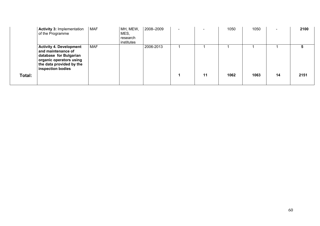|        | <b>Activity 3: Implementation</b><br>of the Programme                                                                                                      | <b>MAF</b> | MH, MEW,<br>MES,<br>research<br>institutes | 2008-2009 | $\overline{\phantom{0}}$ | $\overline{\phantom{0}}$ | 1050 | 1050 | $\overline{\phantom{a}}$ | 2100 |
|--------|------------------------------------------------------------------------------------------------------------------------------------------------------------|------------|--------------------------------------------|-----------|--------------------------|--------------------------|------|------|--------------------------|------|
|        | <b>Activity 4. Development</b><br>and maintenance of<br>database for Bulgarian<br>organic operators using<br>the data provided by the<br>inspection bodies | <b>MAF</b> |                                            | 2006-2013 |                          |                          |      |      |                          |      |
| Total: |                                                                                                                                                            |            |                                            |           |                          | 11                       | 1062 | 1063 | 14                       | 2151 |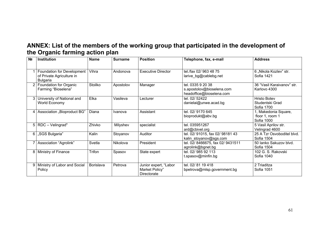# **ANNEX: List of the members of the working group that participated in the development of the Organic farming action plan**

| N <sub>2</sub> | Institution                                                                | <b>Name</b> | <b>Surname</b> | <b>Position</b>                                        | Telephone, fax, e-mail                                                     | <b>Address</b>                                        |
|----------------|----------------------------------------------------------------------------|-------------|----------------|--------------------------------------------------------|----------------------------------------------------------------------------|-------------------------------------------------------|
|                |                                                                            |             |                |                                                        |                                                                            |                                                       |
|                | Foundation for Development<br>of Private Agriculture in<br><b>Bulgaria</b> | Vihra       | Andonova       | <b>Executive Director</b>                              | tel./fax 02/ 963 48 75<br>larive bg@cablebg.net                            | 6 "Nikola Kozlev" str.<br>Sofia 1421                  |
|                | 2 Foundation for Organic<br>Farming "Bioselena"                            | Stoilko     | Apostolov      | Manager                                                | tel. 0335 9 20 38<br>s.apostolov@bioselena.com<br>headoffice@bioselena.com | 36 "Vasil Karaivanov" str.<br>Karlovo 4300            |
|                | 3 University of National and<br>World Economy                              | Elka        | Vasileva       | Lecturer                                               | tel. 02/ 52422<br>danielai@unwe.acad.bg                                    | <b>Hristo Botev</b><br>Studentski Grad<br>Sofia 1700  |
| 4              | Association "Bioproduct BG"                                                | Diana       | Ivanova        | Assistant                                              | tel. 02/9170 645<br>bioprodukt@abv.bg                                      | 1, Makedonia Square,<br>floor 1, room 1<br>Sofia 1000 |
|                | $5   RDC - Velingrad"$                                                     | Zhivko      | Milyshev       | specialist                                             | tel. 035951267<br>ard@cbivel.org                                           | 5 Vasil Aprilov str.<br>Velingrad 4600                |
|                | 6   "SGS Bulgaria"                                                         | Kalin       | Stoyanov       | Auditor                                                | tel. 02/ 91015, fax 02/ 98181 43<br>kalin_stoyanov@sgs.com                 | 25 A Tzr Osvoboditel blvd.<br>Sofia 1504              |
|                | Association "Agrolink"                                                     | Svetla      | Nikolova       | President                                              | tel. 02/8466675, fax 02/9431511<br>agrolink@bgnet.bg                       | 50 lanko Sakuzov blvd.<br>Sofia 1504                  |
| 8              | Ministry of Finance                                                        | Trifon      | Spasov         | State expert                                           | tel. 02/98592113<br>t.spasov@minfin.bg                                     | 102 G. S. Rakovski<br>Sofia 1040                      |
| 9              | Ministry of Labor and Social<br>Policy                                     | Borislava   | Petrova        | Junior expert, "Labor<br>Market Policy"<br>Directorate | tel. 02/81 19 418<br>bpetrova@mlsp.government.bg                           | 2 Triaditza<br>Sofia 1051                             |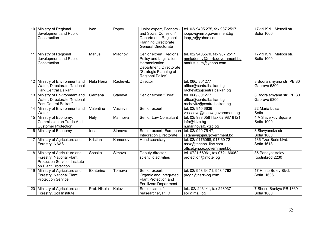|                 | Ministry of Regional<br>development and Public<br>Construction                                                     | Ivan          | Popov     | Junior expert, Economik<br>and Social Cohesion"<br>Department, Regional<br><b>Planning Directorate</b><br><b>General Directorate</b>        | tel. 02/ 9405 275, fax 987 2517<br>ipopov@mrrb.government.bg<br>ipop_v@yahoo.com       | 17-19 Kiril I Metodii str.<br>Sofia 1000  |
|-----------------|--------------------------------------------------------------------------------------------------------------------|---------------|-----------|---------------------------------------------------------------------------------------------------------------------------------------------|----------------------------------------------------------------------------------------|-------------------------------------------|
| 11              | Ministry of Regional<br>development and Public<br>Construction                                                     | <b>Marius</b> | Mladnov   | Senior expert, Regional<br>Policy and Legislation<br>Harmonization<br>Department, Directorate<br>"Strategic Planning of<br>Regional Policy" | tel. 02/ 9405570, fax 987 2517<br>mmladenov@mrrb.government.bg<br>marius t m@yahoo.com | 17-19 Kiril I Metodii str.<br>Sofia 1000  |
|                 | 12 Ministry of Environment and<br>Water, Directorate "National<br>Park Central Balkan"                             | Nela Нела     | Rachevitz | Director                                                                                                                                    | tel. 066/801277<br>office@centralbalkan.bg<br>rachevitz@centralbalkan.bg               | 3 Bodra smyana str. PB 80<br>Gabrovo 5300 |
|                 | 13 Ministry of Environment and<br>Water, Directorate "National<br>Park Central Balkan"                             | Gergana       | Staneva   | Senior expert "Flora"                                                                                                                       | tel. 066/801277<br>office@centralbalkan.bg<br>rachevitz@centralbalkan.bg               | 3 Bodra smyana str. PB 80<br>Gabrovo 5300 |
| 14              | Ministry of Environment and<br>Water                                                                               | Valentine     | Vasileva  | Senior expert                                                                                                                               | tel. 02/940 6636<br>vassileva@moew.government.bg                                       | 22 Maria Luisa<br>Sofia                   |
|                 | 15   Ministry of Economy,<br><b>Commission on Trade And</b><br><b>Customer Protection</b>                          | <b>Nely</b>   | Marinova  | Senior Law Consultant                                                                                                                       | tel. 02/ 933 0581 fax 02 987 9121<br>info@ktzp.bg<br>n.marinova@ktzp.bg                | 4 A Slaveikov Square<br>Sofia 1000        |
| 16              | Ministry of Economy                                                                                                | Irina         | Staneva   | Senior expert, European<br><b>Integration Directorate</b>                                                                                   | tel. 02/940 75 47.<br>i.staneva@mi.government.bg                                       | 8 Slavyanska str.<br>Sofia 1000           |
|                 | 17 Ministry of Agriculture and<br>Forestry, NAAS                                                                   | Kristian      | Kamenov   | Head secretary                                                                                                                              | tel. 02/9176068, 917 60 72<br>nssz@techno-linc.com<br>office@naas.government.bg        | 136 Tzar Boris blvd.<br>Sofia 1618        |
|                 | 18 Ministry of Agriculture and<br>Forestry, National Plant<br>Protection Service, Institute<br>on Plant Protection | Spaska        | Simova    | Deputy-director,<br>scientific activities                                                                                                   | tel. 0721 66061, fax 0721 66062,<br>protection@infotel.bg                              | 35 Panayot Volov<br>Kostinbrod 2230       |
| 19 <sup>1</sup> | Ministry of Agriculture and<br>Forestry, National Plant<br><b>Protection Service</b>                               | Ekaterina     | Tomeva    | Senior expert,<br>Organic and Integrated<br><b>Plant Protection and</b><br><b>Fertilizers Department</b>                                    | tel. 02/ 953 34 71, 953 1762<br>progn@nsrz-bg.com                                      | 17 Hristo Botev Blvd.<br>Sofia 1606       |
| 20 <sub>1</sub> | Ministry of Agriculture and<br>Forestry, Soil Institute                                                            | Prof. Nikola  | Kolev     | Senior scientific<br>reasearcher, PHD                                                                                                       | tel 02/246141, fax 248937<br>soil@mail.bg                                              | 7 Shose Bankya PB 1369<br>Sofia 1080      |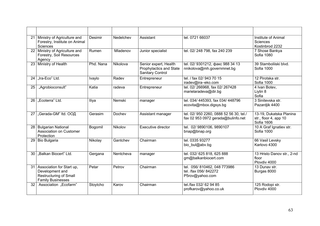|                 | 21 Ministry of Agriculture and<br>Forestry, Institute on Animal<br>Sciences                                  | Desimir   | Nedelchev | Assistant                                                            | tel. 0721 66037                                                               | Institute of Animal<br>Sciences<br>Kostinbrod 2232             |
|-----------------|--------------------------------------------------------------------------------------------------------------|-----------|-----------|----------------------------------------------------------------------|-------------------------------------------------------------------------------|----------------------------------------------------------------|
|                 | 22 Ministry of Agriculture and<br>Forestry, Soil Resources<br>Agency                                         | Rumen     | Mladenov  | Junior specialist                                                    | tel. 02/248 798, fax 240 239                                                  | 7 Shose Bankya<br>Sofia 1080                                   |
|                 | 23 Ministry of Health                                                                                        | Phd. Nana | Nikolova  | Senior expert, Health<br>Prophylactics and State<br>Sanitary Control | tel. 02/ 9301212, факс 988 34 13<br>nnikolova@mh.governmnet.bg                | 39 Stambolijski blvd.<br>Sofia 1000                            |
|                 | 24 .lra-Eco" Ltd.                                                                                            | Ivaylo    | Radev     | Entrepreneur                                                         | tel. / fax 02/ 943 70 15<br>iradev@ira-eko.com                                | 12 Pirotska str.<br>Sofia 1000                                 |
| 25              | "Agrobioconsult"                                                                                             | Katia     | radeva    | Entrepreneur                                                         | tel. 02/266968, fax 02/267428<br>marielaradeva@dir.bg                         | 4 Ivan Botev,<br>Liylin 8<br>Sofia                             |
|                 | 26 .Ecoterra" Ltd.                                                                                           | Iliya     | Nemski    | manager                                                              | tel. 034/ 445393, fax 034/ 448796<br>ecovita@mbox.digsys.bg                   | 3 Sinitevska str.<br>Pazardjik 4400                            |
|                 | 27   "Gerada-GM" Itd. ООД                                                                                    | Gerasim   | Dochev    | Assistant manager                                                    | tel. 02/ 950 2260, 0888 52 56 30, tel./<br>fax 02 953 0972 gerada@bulinfo.net | 13-19, Dukatska Planina<br>str., floor 4, app 10<br>Sofia 1606 |
|                 | 28 Bulgarian National<br>Association on Customer<br>Protection                                               | Bogomil   | Nikolov   | Executive director                                                   | tel. 02/9890106, 9890107<br>bnap@bnap.org                                     | 10 A Graf Ignatiev str.<br>Sofia 1000                          |
|                 | 29 Bio Bulgaria                                                                                              | Nikolay   | Gantchev  | Chairman                                                             | tel. 0335 93277<br>bio bul@abv.bg                                             | 66 Vasil Levsky<br>Karlovo 4300                                |
| 30 <sub>1</sub> | "Balkan Biocert" Ltd.                                                                                        | Gergana   | Nentcheva | manager                                                              | tel. 032/ 625 818, 625 888<br>gm@balkanbiocert.com                            | 13 Hristo Danov str., 2-nd<br>floor<br>Plovdiv 4000            |
|                 | 31 Association for Start up,<br>Development and<br><b>Restructuring of Small</b><br><b>Family Businesses</b> | Petar     | Petrov    | Chairman                                                             | tel. 056/810462, 048 773986<br>tel. /fax 056/842272<br>P5rov@yahoo.com        | 13 Dunav str.<br>Burgas 8000                                   |
| 32 <sub>1</sub> | Association "Ecofarm"                                                                                        | Stoytcho  | Karov     | Chairman                                                             | tel./fax 032/ 62 94 85<br>profkarov@yahoo.co.uk                               | 125 Rodopi str.<br>Plovdiv 4000                                |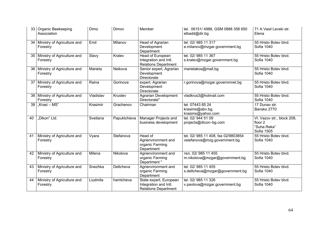|                 | 33 Organic Beekeeping<br>Association         | Dimo      | Dimov        | Member                                                                         | tel. 06151/4988, GSM 0888 358 650<br>elbadd@dir.bg                  | 71 A Vasil Levski str.<br>Elena                                    |
|-----------------|----------------------------------------------|-----------|--------------|--------------------------------------------------------------------------------|---------------------------------------------------------------------|--------------------------------------------------------------------|
|                 | 34 Ministry of Agriculture and<br>Forestry   | Emil      | Milanov      | Head of Agrarian<br>Development<br>Department                                  | tel. 02/985 11 317<br>e.milanov@mzgar.government.bg                 | 55 Hristo Botev blvd.<br>Sofia 1040                                |
|                 | 35   Ministry of Agriculture and<br>Forestry | Slavy     | Kralev       | Head of European<br>Integration and Intl.<br><b>Relations Department</b>       | tel. 02/985 11 367<br>s.kralev@mzgar.government.bg                  | 55 Hristo Botev blvd.<br>Sofia 1040                                |
|                 | 36 Ministry of Agriculture and<br>Forestry   | Marieta   | Neikova      | Senior expert, Agrarian<br>Development<br><b>Directorate</b>                   | marietakos@mail.bg                                                  | 55 Hristo Botev blvd.<br>Sofia 1040                                |
|                 | 37   Ministry of Agriculture and<br>Forestry | Raina     | Gorinova     | expert, Agrarian<br>Development<br>Directorate                                 | r.gorinova@mzgar.governmnet.bg                                      | 55 Hristo Botev blvd.<br>Sofia 1040                                |
|                 | 38 Ministry of Agriculture and<br>Forestry   | Vladislav | Krustev      | <b>Agrarian Development</b><br>Directorate"                                    | vladkrus3@hotmail.com                                               | 55 Hristo Botev blvd.<br>Sofia 1040                                |
| 39              | "Krasi – MS"                                 | Krasimir  | Grachenov    | Chairman                                                                       | tel. 07443 85 24<br>krasims@abv.bg,<br>krasims@yahoo.com            | 17 Dunav str.<br>Bansko 2770                                       |
| 40              | "Dikon" Ltd.                                 | Svetlana  | Papuktchieva | Manager Projects and<br>business development                                   | tel. 02/944 51 09<br>projects@dicon-bg.com                          | VI. Vazov str., block 208,<br>floor 2<br>"Suha Reka"<br>Sofia 1505 |
| $\overline{41}$ | Ministry of Agriculture and<br>Forestry      | Vyara     | Stefanova    | Head of<br>Agrienvironment and<br>organic Farming<br>Department                | tel. 02/ 985 11 408, fax 02/9803854<br>vstefanova@mzg.government.bg | 55 Hristo Botev blvd.<br>Sofia 1040                                |
| 42              | Ministry of Agriculture and<br>Forestry      | Milena    | Nikolova     | Agrienvironment and<br>organic Farming<br>Department"                          | тел. 02/ 985 11 455<br>m.nikolova@mzgar@government.bg               | 55 Hristo Botev blvd.<br>Sofia 1040                                |
| 43              | Ministry of Agriculture and<br>Forestry      | Snezhka   | Deltcheva    | Agrienvironment and<br>organic Farming<br>Department                           | tel. 02/985 11 455<br>s.deltcheva@mzgar@government.bg               | 55 Hristo Botev blvd.<br>Sofia 1040                                |
| 44              | Ministry of Agriculture and<br>Forestry      | Liudmila  | hamtcheva    | State expert, European<br>Integration and Intl.<br><b>Relations Department</b> | tel. 02/985 11 326<br>v.pavlova@mzgar.government.bg                 | 55 Hristo Botev blvd.<br>Sofia 1040                                |